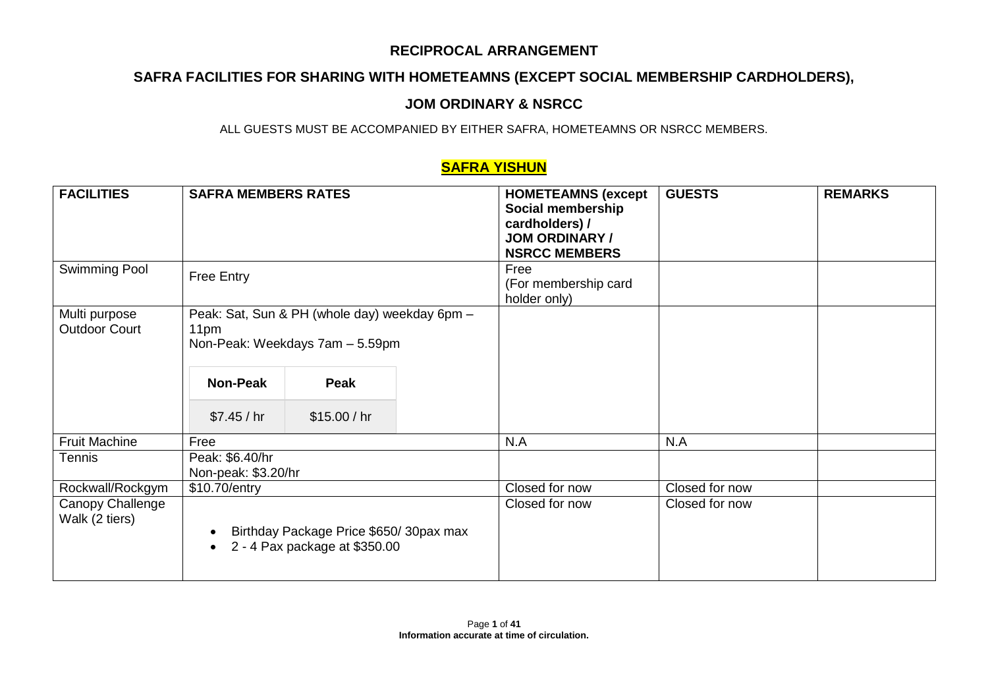# **SAFRA FACILITIES FOR SHARING WITH HOMETEAMNS (EXCEPT SOCIAL MEMBERSHIP CARDHOLDERS),**

## **JOM ORDINARY & NSRCC**

ALL GUESTS MUST BE ACCOMPANIED BY EITHER SAFRA, HOMETEAMNS OR NSRCC MEMBERS.

## **SAFRA YISHUN**

| <b>FACILITIES</b>                     | <b>SAFRA MEMBERS RATES</b>             |                                                                                  | <b>HOMETEAMNS (except</b><br>Social membership<br>cardholders) /<br><b>JOM ORDINARY /</b><br><b>NSRCC MEMBERS</b> | <b>GUESTS</b>  | <b>REMARKS</b> |
|---------------------------------------|----------------------------------------|----------------------------------------------------------------------------------|-------------------------------------------------------------------------------------------------------------------|----------------|----------------|
| Swimming Pool                         | <b>Free Entry</b>                      |                                                                                  | Free<br>(For membership card<br>holder only)                                                                      |                |                |
| Multi purpose<br><b>Outdoor Court</b> | 11pm                                   | Peak: Sat, Sun & PH (whole day) weekday 6pm -<br>Non-Peak: Weekdays 7am - 5.59pm |                                                                                                                   |                |                |
|                                       | <b>Non-Peak</b>                        | Peak                                                                             |                                                                                                                   |                |                |
|                                       | \$7.45 / hr                            | \$15.00/hr                                                                       |                                                                                                                   |                |                |
| <b>Fruit Machine</b>                  | Free                                   |                                                                                  | N.A                                                                                                               | N.A            |                |
| Tennis                                | Peak: \$6.40/hr<br>Non-peak: \$3.20/hr |                                                                                  |                                                                                                                   |                |                |
| Rockwall/Rockgym                      | \$10.70/entry                          |                                                                                  | Closed for now                                                                                                    | Closed for now |                |
| Canopy Challenge<br>Walk (2 tiers)    | $\bullet$<br>$\bullet$                 | Birthday Package Price \$650/30pax max<br>2 - 4 Pax package at \$350.00          | Closed for now                                                                                                    | Closed for now |                |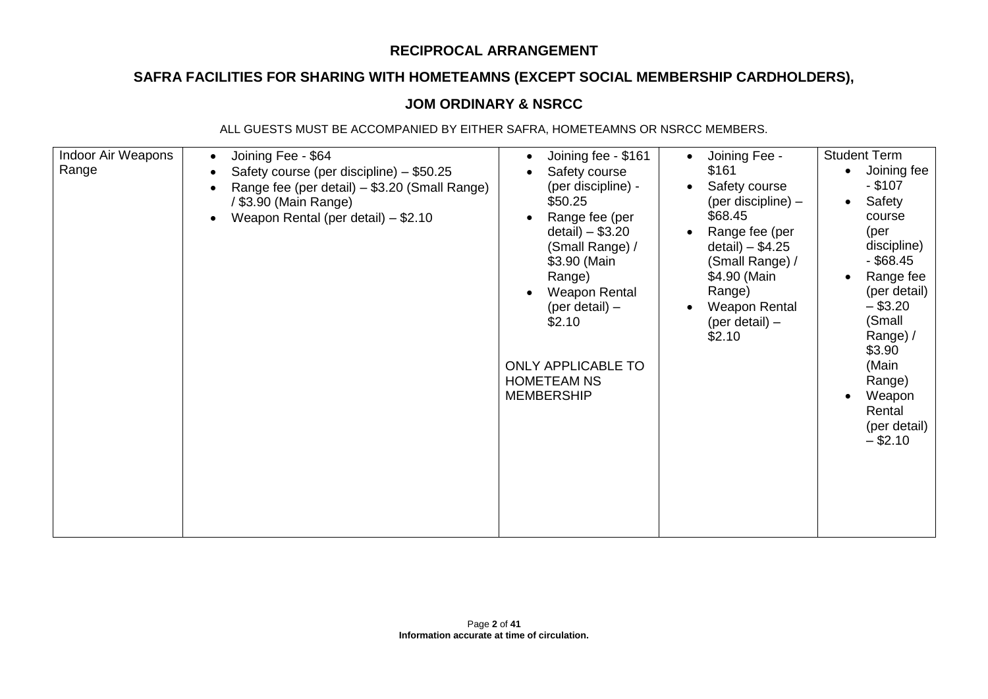# **SAFRA FACILITIES FOR SHARING WITH HOMETEAMNS (EXCEPT SOCIAL MEMBERSHIP CARDHOLDERS),**

## **JOM ORDINARY & NSRCC**

| Indoor Air Weapons<br>Range | Joining Fee - \$64<br>$\bullet$<br>Safety course (per discipline) – \$50.25<br>Range fee (per detail) – \$3.20 (Small Range)<br>$\bullet$<br>/ \$3.90 (Main Range)<br>Weapon Rental (per detail) - \$2.10<br>$\bullet$ | Joining fee - \$161<br>$\bullet$<br>Safety course<br>(per discipline) -<br>\$50.25<br>Range fee (per<br>detail) $-$ \$3.20<br>(Small Range) /<br>\$3.90 (Main<br>Range)<br><b>Weapon Rental</b><br>(per detail) $-$<br>\$2.10<br><b>ONLY APPLICABLE TO</b><br><b>HOMETEAM NS</b><br><b>MEMBERSHIP</b> | Joining Fee -<br>\$161<br>Safety course<br>(per discipline) -<br>\$68.45<br>Range fee (per<br>detail) $-$ \$4.25<br>(Small Range) /<br>\$4.90 (Main<br>Range)<br><b>Weapon Rental</b><br>(per detail) $-$<br>\$2.10 | <b>Student Term</b><br>Joining fee<br>$\bullet$<br>$-$ \$107<br>Safety<br>$\bullet$<br>course<br>(per<br>discipline)<br>$-$ \$68.45<br>Range fee<br>(per detail)<br>$-$ \$3.20<br>(Small<br>Range) /<br>\$3.90<br>(Main<br>Range)<br>Weapon<br>Rental<br>(per detail)<br>$-$ \$2.10 |
|-----------------------------|------------------------------------------------------------------------------------------------------------------------------------------------------------------------------------------------------------------------|-------------------------------------------------------------------------------------------------------------------------------------------------------------------------------------------------------------------------------------------------------------------------------------------------------|---------------------------------------------------------------------------------------------------------------------------------------------------------------------------------------------------------------------|-------------------------------------------------------------------------------------------------------------------------------------------------------------------------------------------------------------------------------------------------------------------------------------|
|-----------------------------|------------------------------------------------------------------------------------------------------------------------------------------------------------------------------------------------------------------------|-------------------------------------------------------------------------------------------------------------------------------------------------------------------------------------------------------------------------------------------------------------------------------------------------------|---------------------------------------------------------------------------------------------------------------------------------------------------------------------------------------------------------------------|-------------------------------------------------------------------------------------------------------------------------------------------------------------------------------------------------------------------------------------------------------------------------------------|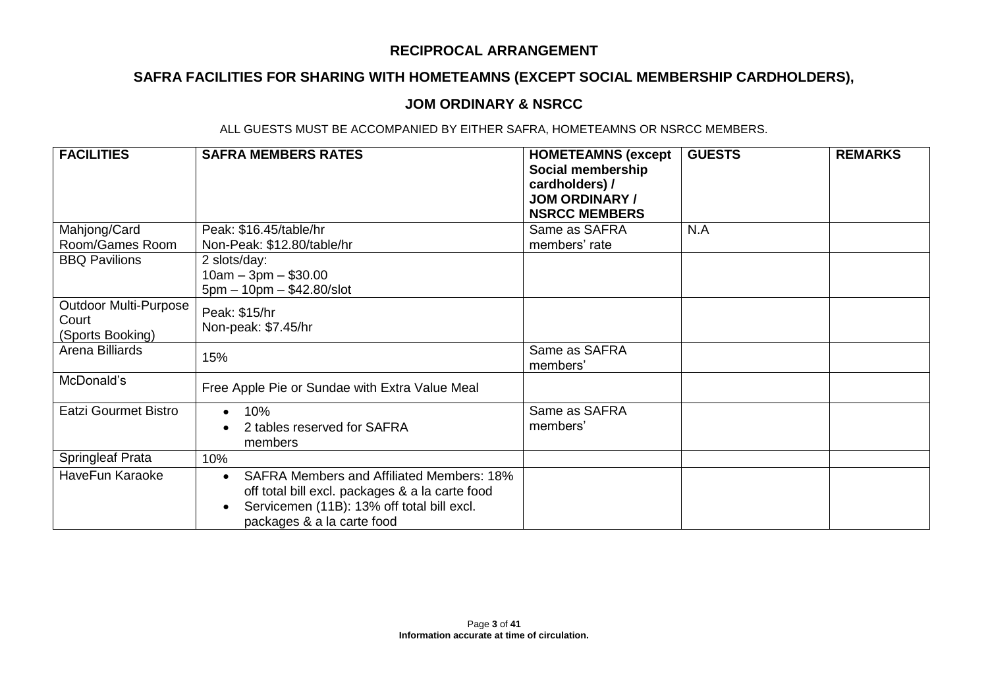# **SAFRA FACILITIES FOR SHARING WITH HOMETEAMNS (EXCEPT SOCIAL MEMBERSHIP CARDHOLDERS),**

### **JOM ORDINARY & NSRCC**

| <b>FACILITIES</b>                                         | <b>SAFRA MEMBERS RATES</b>                                                                                                                                                      | <b>HOMETEAMNS (except</b><br>Social membership<br>cardholders) /<br><b>JOM ORDINARY /</b><br><b>NSRCC MEMBERS</b> | <b>GUESTS</b> | <b>REMARKS</b> |
|-----------------------------------------------------------|---------------------------------------------------------------------------------------------------------------------------------------------------------------------------------|-------------------------------------------------------------------------------------------------------------------|---------------|----------------|
| Mahjong/Card                                              | Peak: \$16.45/table/hr                                                                                                                                                          | Same as SAFRA                                                                                                     | N.A           |                |
| Room/Games Room                                           | Non-Peak: \$12.80/table/hr                                                                                                                                                      | members' rate                                                                                                     |               |                |
| <b>BBQ Pavilions</b>                                      | 2 slots/day:<br>$10am - 3pm - $30.00$<br>$5pm - 10pm - $42.80/slot$                                                                                                             |                                                                                                                   |               |                |
| <b>Outdoor Multi-Purpose</b><br>Court<br>(Sports Booking) | Peak: \$15/hr<br>Non-peak: \$7.45/hr                                                                                                                                            |                                                                                                                   |               |                |
| Arena Billiards                                           | 15%                                                                                                                                                                             | Same as SAFRA<br>members'                                                                                         |               |                |
| McDonald's                                                | Free Apple Pie or Sundae with Extra Value Meal                                                                                                                                  |                                                                                                                   |               |                |
| <b>Eatzi Gourmet Bistro</b>                               | 10%<br>$\bullet$<br>2 tables reserved for SAFRA<br>members                                                                                                                      | Same as SAFRA<br>members'                                                                                         |               |                |
| <b>Springleaf Prata</b>                                   | 10%                                                                                                                                                                             |                                                                                                                   |               |                |
| HaveFun Karaoke                                           | <b>SAFRA Members and Affiliated Members: 18%</b><br>off total bill excl. packages & a la carte food<br>Servicemen (11B): 13% off total bill excl.<br>packages & a la carte food |                                                                                                                   |               |                |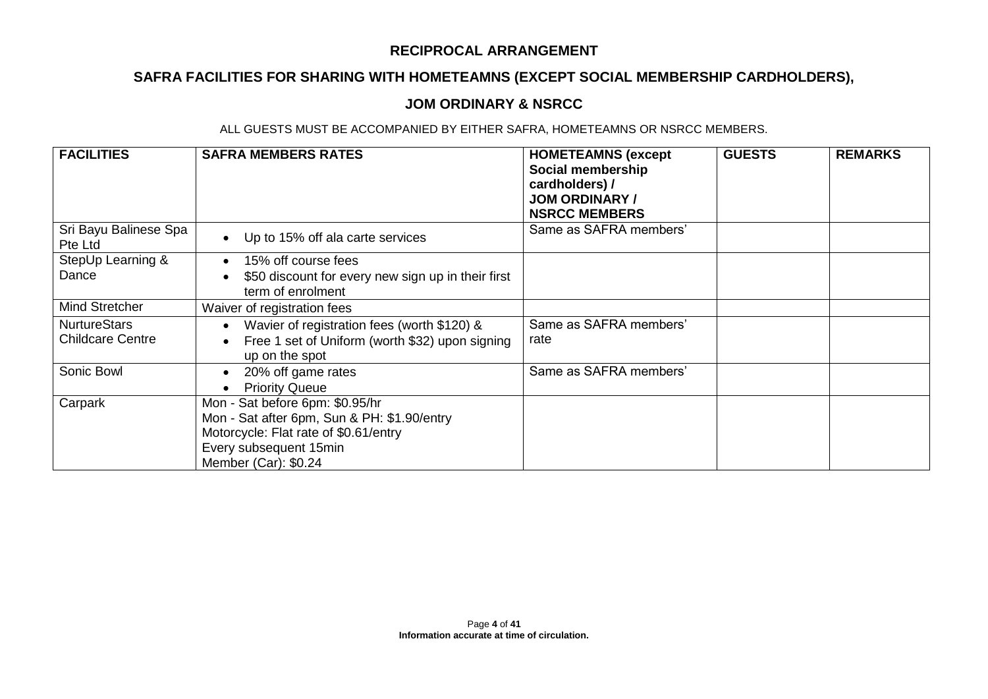# **SAFRA FACILITIES FOR SHARING WITH HOMETEAMNS (EXCEPT SOCIAL MEMBERSHIP CARDHOLDERS),**

### **JOM ORDINARY & NSRCC**

| <b>FACILITIES</b>                              | <b>SAFRA MEMBERS RATES</b>                                                                                                                                                | <b>HOMETEAMNS (except</b><br>Social membership<br>cardholders) /<br><b>JOM ORDINARY /</b><br><b>NSRCC MEMBERS</b> | <b>GUESTS</b> | <b>REMARKS</b> |
|------------------------------------------------|---------------------------------------------------------------------------------------------------------------------------------------------------------------------------|-------------------------------------------------------------------------------------------------------------------|---------------|----------------|
| Sri Bayu Balinese Spa<br>Pte Ltd               | Up to 15% off ala carte services                                                                                                                                          | Same as SAFRA members'                                                                                            |               |                |
| StepUp Learning &                              | 15% off course fees                                                                                                                                                       |                                                                                                                   |               |                |
| Dance                                          | \$50 discount for every new sign up in their first<br>term of enrolment                                                                                                   |                                                                                                                   |               |                |
| Mind Stretcher                                 | Waiver of registration fees                                                                                                                                               |                                                                                                                   |               |                |
| <b>NurtureStars</b><br><b>Childcare Centre</b> | Wavier of registration fees (worth \$120) &<br>Free 1 set of Uniform (worth \$32) upon signing<br>up on the spot                                                          | Same as SAFRA members'<br>rate                                                                                    |               |                |
| Sonic Bowl                                     | 20% off game rates<br>$\bullet$<br><b>Priority Queue</b>                                                                                                                  | Same as SAFRA members'                                                                                            |               |                |
| Carpark                                        | Mon - Sat before 6pm: \$0.95/hr<br>Mon - Sat after 6pm, Sun & PH: \$1.90/entry<br>Motorcycle: Flat rate of \$0.61/entry<br>Every subsequent 15min<br>Member (Car): \$0.24 |                                                                                                                   |               |                |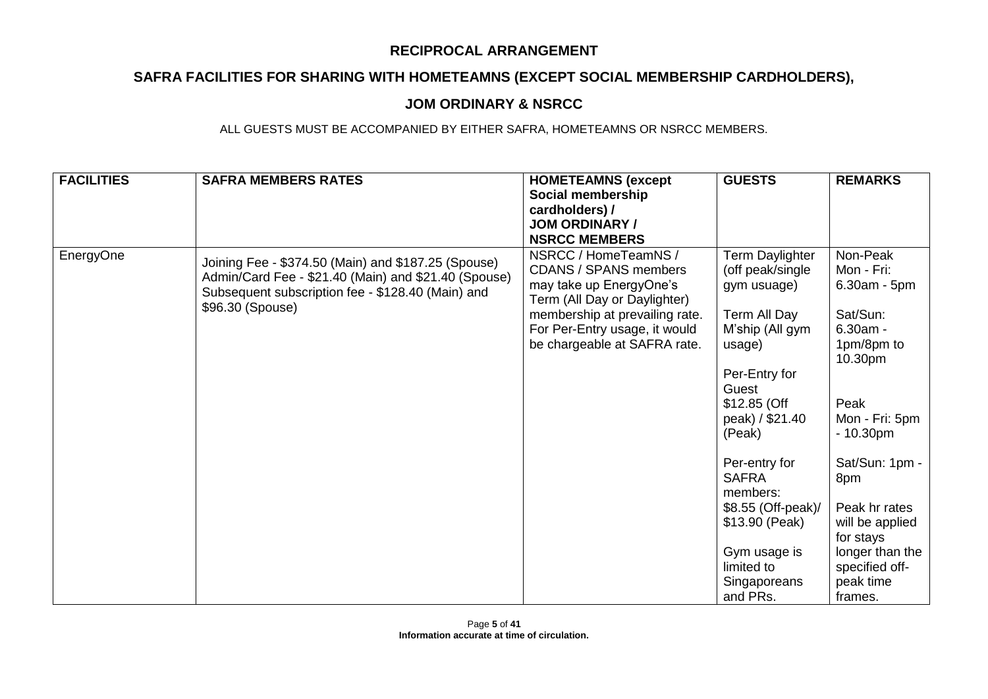# **SAFRA FACILITIES FOR SHARING WITH HOMETEAMNS (EXCEPT SOCIAL MEMBERSHIP CARDHOLDERS),**

### **JOM ORDINARY & NSRCC**

| <b>FACILITIES</b> | <b>SAFRA MEMBERS RATES</b>                                                                                                                                                           | <b>HOMETEAMNS (except</b><br>Social membership<br>cardholders) /<br><b>JOM ORDINARY /</b><br><b>NSRCC MEMBERS</b>                                 | <b>GUESTS</b>                                                       | <b>REMARKS</b>                                            |
|-------------------|--------------------------------------------------------------------------------------------------------------------------------------------------------------------------------------|---------------------------------------------------------------------------------------------------------------------------------------------------|---------------------------------------------------------------------|-----------------------------------------------------------|
| EnergyOne         | Joining Fee - \$374.50 (Main) and \$187.25 (Spouse)<br>Admin/Card Fee - \$21.40 (Main) and \$21.40 (Spouse)<br>Subsequent subscription fee - \$128.40 (Main) and<br>\$96.30 (Spouse) | NSRCC / HomeTeamNS /<br><b>CDANS / SPANS members</b><br>may take up EnergyOne's<br>Term (All Day or Daylighter)<br>membership at prevailing rate. | Term Daylighter<br>(off peak/single<br>gym usuage)<br>Term All Day  | Non-Peak<br>Mon - Fri:<br>6.30am - 5pm<br>Sat/Sun:        |
|                   |                                                                                                                                                                                      | For Per-Entry usage, it would<br>be chargeable at SAFRA rate.                                                                                     | M'ship (All gym<br>usage)                                           | $6.30am -$<br>1pm/8pm to<br>10.30pm                       |
|                   |                                                                                                                                                                                      |                                                                                                                                                   | Per-Entry for<br>Guest<br>\$12.85 (Off<br>peak) / \$21.40<br>(Peak) | Peak<br>Mon - Fri: 5pm<br>$-10.30pm$                      |
|                   |                                                                                                                                                                                      |                                                                                                                                                   | Per-entry for<br><b>SAFRA</b><br>members:<br>\$8.55 (Off-peak)/     | Sat/Sun: 1pm -<br>8pm<br>Peak hr rates                    |
|                   |                                                                                                                                                                                      |                                                                                                                                                   | \$13.90 (Peak)                                                      | will be applied<br>for stays                              |
|                   |                                                                                                                                                                                      |                                                                                                                                                   | Gym usage is<br>limited to<br>Singaporeans<br>and PRs.              | longer than the<br>specified off-<br>peak time<br>frames. |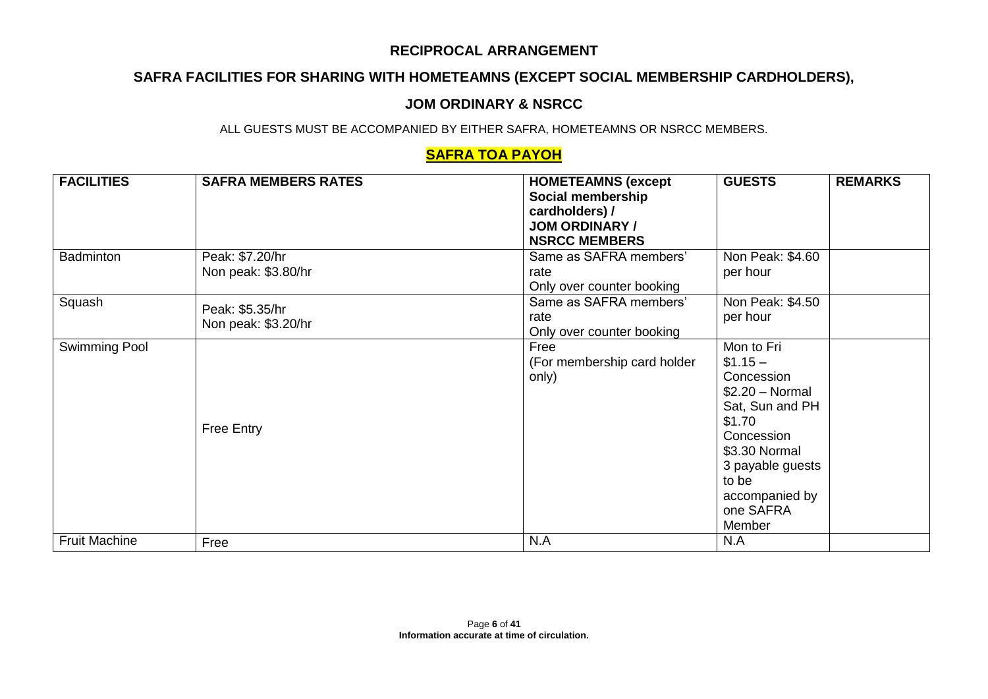# **SAFRA FACILITIES FOR SHARING WITH HOMETEAMNS (EXCEPT SOCIAL MEMBERSHIP CARDHOLDERS),**

### **JOM ORDINARY & NSRCC**

ALL GUESTS MUST BE ACCOMPANIED BY EITHER SAFRA, HOMETEAMNS OR NSRCC MEMBERS.

## **SAFRA TOA PAYOH**

| <b>FACILITIES</b>    | <b>SAFRA MEMBERS RATES</b>             | <b>HOMETEAMNS (except</b><br>Social membership<br>cardholders) /<br><b>JOM ORDINARY /</b><br><b>NSRCC MEMBERS</b> | <b>GUESTS</b>                                                                                                                                                                              | <b>REMARKS</b> |
|----------------------|----------------------------------------|-------------------------------------------------------------------------------------------------------------------|--------------------------------------------------------------------------------------------------------------------------------------------------------------------------------------------|----------------|
| <b>Badminton</b>     | Peak: \$7.20/hr<br>Non peak: \$3.80/hr | Same as SAFRA members'<br>rate<br>Only over counter booking                                                       | Non Peak: \$4.60<br>per hour                                                                                                                                                               |                |
| Squash               | Peak: \$5.35/hr<br>Non peak: \$3.20/hr | Same as SAFRA members'<br>rate<br>Only over counter booking                                                       | Non Peak: \$4.50<br>per hour                                                                                                                                                               |                |
| Swimming Pool        | Free Entry                             | Free<br>(For membership card holder<br>only)                                                                      | Mon to Fri<br>$$1.15-$<br>Concession<br>$$2.20 - Normal$<br>Sat, Sun and PH<br>\$1.70<br>Concession<br>\$3.30 Normal<br>3 payable guests<br>to be<br>accompanied by<br>one SAFRA<br>Member |                |
| <b>Fruit Machine</b> | Free                                   | N.A                                                                                                               | N.A                                                                                                                                                                                        |                |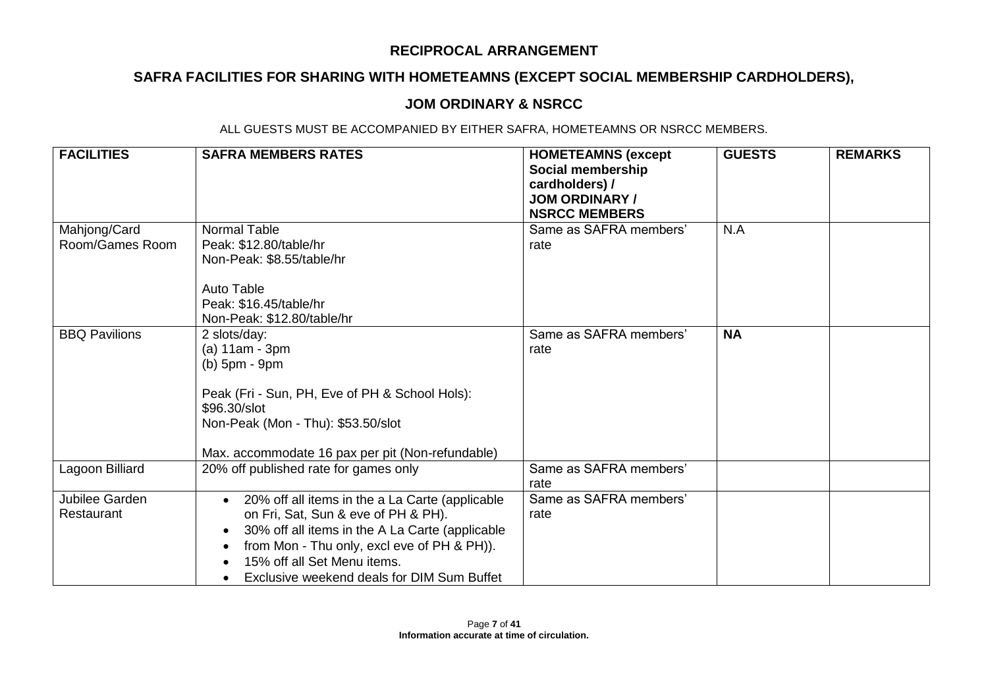# **SAFRA FACILITIES FOR SHARING WITH HOMETEAMNS (EXCEPT SOCIAL MEMBERSHIP CARDHOLDERS),**

### **JOM ORDINARY & NSRCC**

| <b>FACILITIES</b>               | <b>SAFRA MEMBERS RATES</b>                                                                                                                                                                                                                                                                      | <b>HOMETEAMNS (except</b><br>Social membership<br>cardholders) /<br><b>JOM ORDINARY /</b><br><b>NSRCC MEMBERS</b> | <b>GUESTS</b> | <b>REMARKS</b> |
|---------------------------------|-------------------------------------------------------------------------------------------------------------------------------------------------------------------------------------------------------------------------------------------------------------------------------------------------|-------------------------------------------------------------------------------------------------------------------|---------------|----------------|
| Mahjong/Card<br>Room/Games Room | <b>Normal Table</b><br>Peak: \$12.80/table/hr<br>Non-Peak: \$8.55/table/hr<br><b>Auto Table</b><br>Peak: \$16.45/table/hr<br>Non-Peak: \$12.80/table/hr                                                                                                                                         | Same as SAFRA members'<br>rate                                                                                    | N.A           |                |
| <b>BBQ Pavilions</b>            | 2 slots/day:<br>(a) 11am - 3pm<br>$(b)$ 5pm - 9pm<br>Peak (Fri - Sun, PH, Eve of PH & School Hols):<br>\$96.30/slot<br>Non-Peak (Mon - Thu): \$53.50/slot<br>Max. accommodate 16 pax per pit (Non-refundable)                                                                                   | Same as SAFRA members'<br>rate                                                                                    | <b>NA</b>     |                |
| Lagoon Billiard                 | 20% off published rate for games only                                                                                                                                                                                                                                                           | Same as SAFRA members'<br>rate                                                                                    |               |                |
| Jubilee Garden<br>Restaurant    | 20% off all items in the a La Carte (applicable<br>$\bullet$<br>on Fri, Sat, Sun & eve of PH & PH).<br>30% off all items in the A La Carte (applicable<br>$\bullet$<br>from Mon - Thu only, excl eve of PH & PH)).<br>15% off all Set Menu items.<br>Exclusive weekend deals for DIM Sum Buffet | Same as SAFRA members'<br>rate                                                                                    |               |                |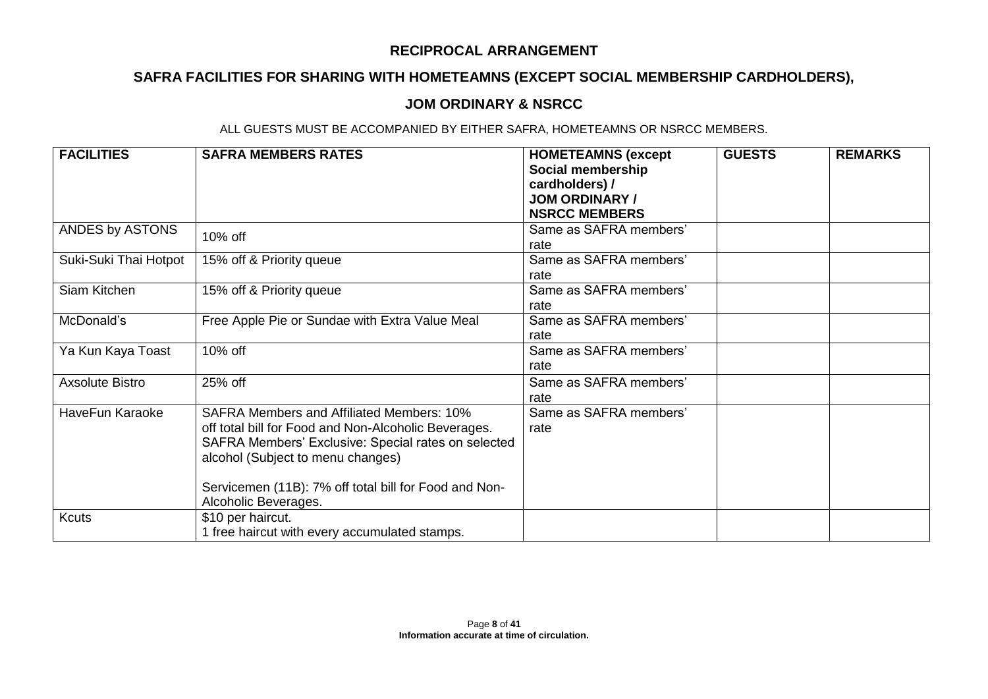# **SAFRA FACILITIES FOR SHARING WITH HOMETEAMNS (EXCEPT SOCIAL MEMBERSHIP CARDHOLDERS),**

### **JOM ORDINARY & NSRCC**

| <b>FACILITIES</b>      | <b>SAFRA MEMBERS RATES</b>                                                                                                                                                                                                                                                            | <b>HOMETEAMNS (except</b><br>Social membership<br>cardholders) /<br><b>JOM ORDINARY /</b><br><b>NSRCC MEMBERS</b> | <b>GUESTS</b> | <b>REMARKS</b> |
|------------------------|---------------------------------------------------------------------------------------------------------------------------------------------------------------------------------------------------------------------------------------------------------------------------------------|-------------------------------------------------------------------------------------------------------------------|---------------|----------------|
| ANDES by ASTONS        | 10% off                                                                                                                                                                                                                                                                               | Same as SAFRA members'<br>rate                                                                                    |               |                |
| Suki-Suki Thai Hotpot  | 15% off & Priority queue                                                                                                                                                                                                                                                              | Same as SAFRA members'<br>rate                                                                                    |               |                |
| Siam Kitchen           | 15% off & Priority queue                                                                                                                                                                                                                                                              | Same as SAFRA members'<br>rate                                                                                    |               |                |
| McDonald's             | Free Apple Pie or Sundae with Extra Value Meal                                                                                                                                                                                                                                        | Same as SAFRA members'<br>rate                                                                                    |               |                |
| Ya Kun Kaya Toast      | 10% off                                                                                                                                                                                                                                                                               | Same as SAFRA members'<br>rate                                                                                    |               |                |
| <b>Axsolute Bistro</b> | 25% off                                                                                                                                                                                                                                                                               | Same as SAFRA members'<br>rate                                                                                    |               |                |
| HaveFun Karaoke        | <b>SAFRA Members and Affiliated Members: 10%</b><br>off total bill for Food and Non-Alcoholic Beverages.<br>SAFRA Members' Exclusive: Special rates on selected<br>alcohol (Subject to menu changes)<br>Servicemen (11B): 7% off total bill for Food and Non-<br>Alcoholic Beverages. | Same as SAFRA members'<br>rate                                                                                    |               |                |
| <b>Kcuts</b>           | \$10 per haircut.<br>1 free haircut with every accumulated stamps.                                                                                                                                                                                                                    |                                                                                                                   |               |                |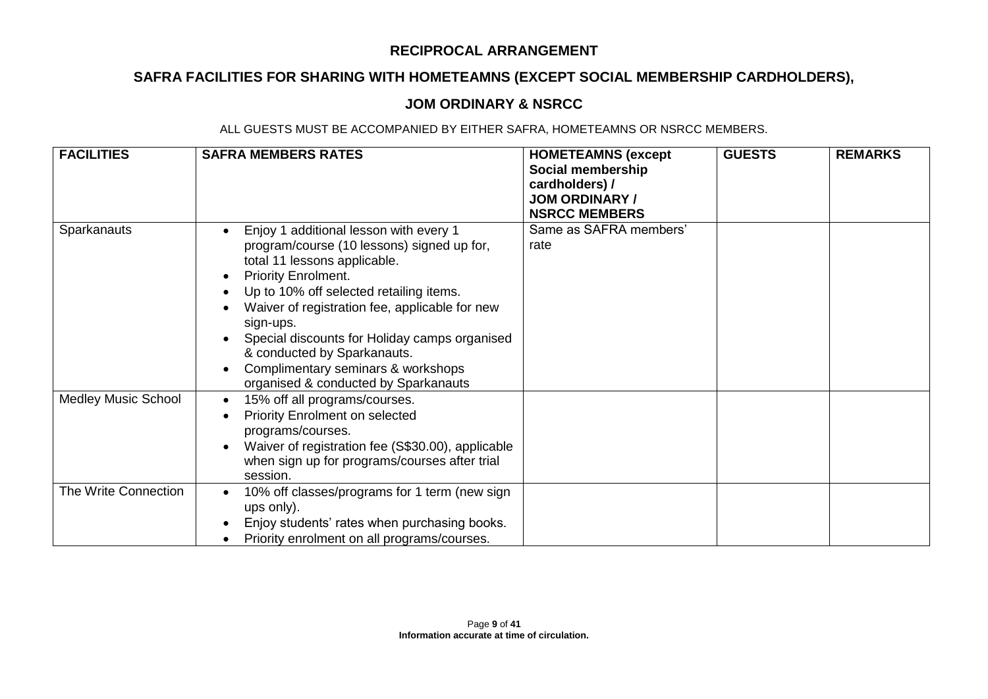# **SAFRA FACILITIES FOR SHARING WITH HOMETEAMNS (EXCEPT SOCIAL MEMBERSHIP CARDHOLDERS),**

## **JOM ORDINARY & NSRCC**

| <b>FACILITIES</b>          | <b>SAFRA MEMBERS RATES</b>                                                                                                                                                                                                                                                                                                                                                                                                 | <b>HOMETEAMNS (except</b><br>Social membership<br>cardholders) /<br><b>JOM ORDINARY /</b><br><b>NSRCC MEMBERS</b> | <b>GUESTS</b> | <b>REMARKS</b> |
|----------------------------|----------------------------------------------------------------------------------------------------------------------------------------------------------------------------------------------------------------------------------------------------------------------------------------------------------------------------------------------------------------------------------------------------------------------------|-------------------------------------------------------------------------------------------------------------------|---------------|----------------|
| Sparkanauts                | Enjoy 1 additional lesson with every 1<br>program/course (10 lessons) signed up for,<br>total 11 lessons applicable.<br><b>Priority Enrolment.</b><br>Up to 10% off selected retailing items.<br>Waiver of registration fee, applicable for new<br>sign-ups.<br>Special discounts for Holiday camps organised<br>& conducted by Sparkanauts.<br>Complimentary seminars & workshops<br>organised & conducted by Sparkanauts | Same as SAFRA members'<br>rate                                                                                    |               |                |
| <b>Medley Music School</b> | 15% off all programs/courses.<br>$\bullet$<br><b>Priority Enrolment on selected</b><br>programs/courses.<br>Waiver of registration fee (S\$30.00), applicable<br>when sign up for programs/courses after trial<br>session.                                                                                                                                                                                                 |                                                                                                                   |               |                |
| The Write Connection       | 10% off classes/programs for 1 term (new sign<br>ups only).<br>Enjoy students' rates when purchasing books.<br>Priority enrolment on all programs/courses.                                                                                                                                                                                                                                                                 |                                                                                                                   |               |                |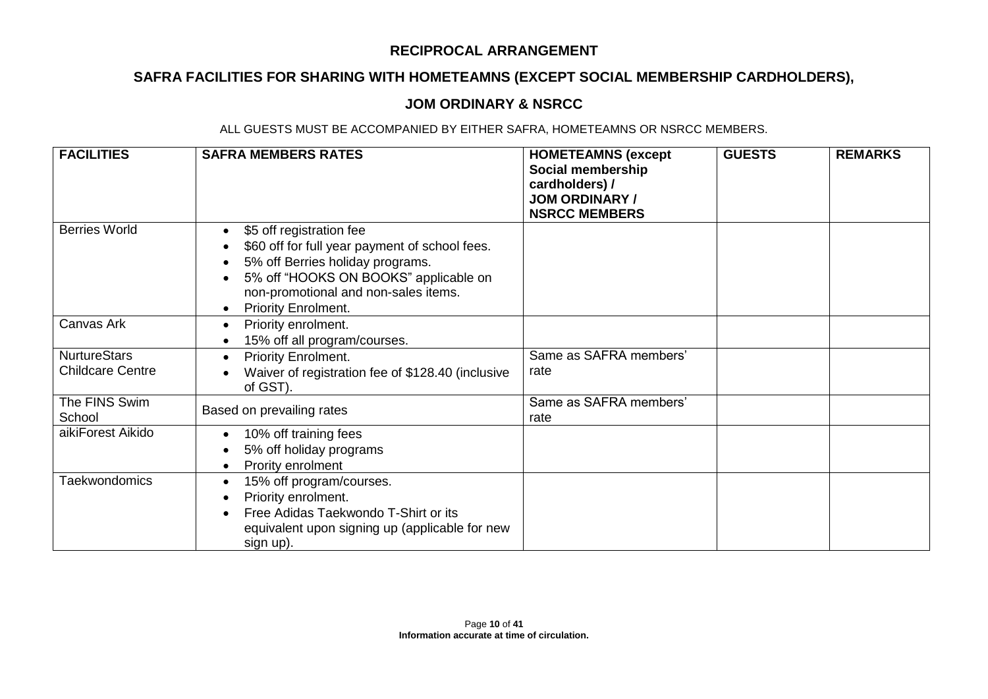# **SAFRA FACILITIES FOR SHARING WITH HOMETEAMNS (EXCEPT SOCIAL MEMBERSHIP CARDHOLDERS),**

## **JOM ORDINARY & NSRCC**

| <b>FACILITIES</b>                              | <b>SAFRA MEMBERS RATES</b>                                                                                                                                                                                             | <b>HOMETEAMNS (except</b><br>Social membership<br>cardholders) /<br><b>JOM ORDINARY /</b><br><b>NSRCC MEMBERS</b> | <b>GUESTS</b> | <b>REMARKS</b> |
|------------------------------------------------|------------------------------------------------------------------------------------------------------------------------------------------------------------------------------------------------------------------------|-------------------------------------------------------------------------------------------------------------------|---------------|----------------|
| <b>Berries World</b>                           | \$5 off registration fee<br>\$60 off for full year payment of school fees.<br>5% off Berries holiday programs.<br>5% off "HOOKS ON BOOKS" applicable on<br>non-promotional and non-sales items.<br>Priority Enrolment. |                                                                                                                   |               |                |
| Canvas Ark                                     | Priority enrolment.<br>15% off all program/courses.                                                                                                                                                                    |                                                                                                                   |               |                |
| <b>NurtureStars</b><br><b>Childcare Centre</b> | Priority Enrolment.<br>Waiver of registration fee of \$128.40 (inclusive<br>of GST).                                                                                                                                   | Same as SAFRA members'<br>rate                                                                                    |               |                |
| The FINS Swim<br>School                        | Based on prevailing rates                                                                                                                                                                                              | Same as SAFRA members'<br>rate                                                                                    |               |                |
| aikiForest Aikido                              | 10% off training fees<br>5% off holiday programs<br>Prority enrolment                                                                                                                                                  |                                                                                                                   |               |                |
| Taekwondomics                                  | 15% off program/courses.<br>Priority enrolment.<br>Free Adidas Taekwondo T-Shirt or its<br>equivalent upon signing up (applicable for new<br>sign up).                                                                 |                                                                                                                   |               |                |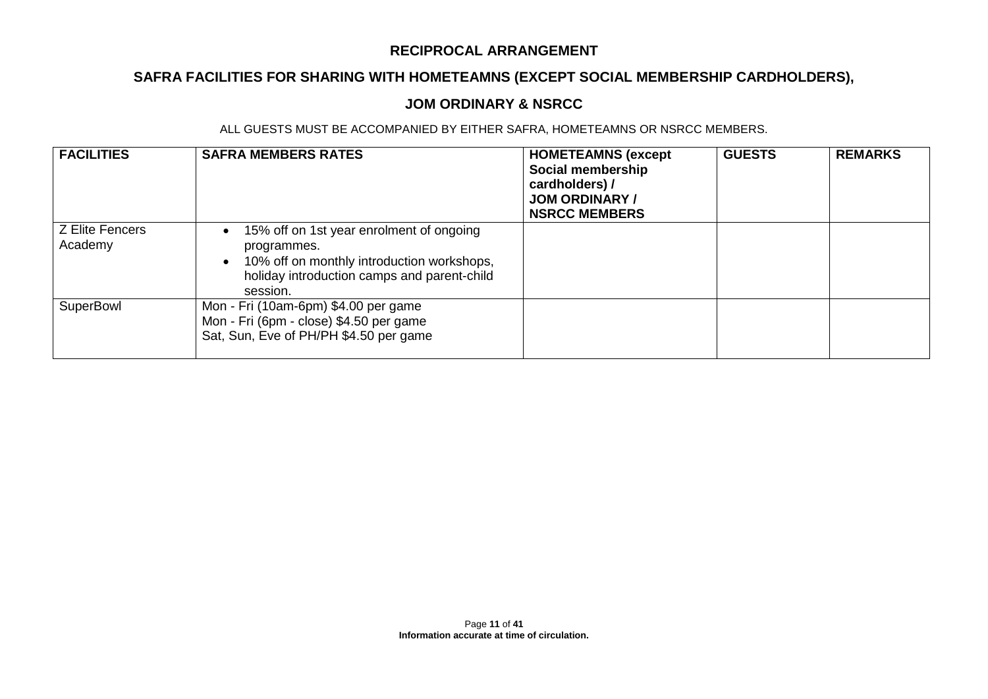# **SAFRA FACILITIES FOR SHARING WITH HOMETEAMNS (EXCEPT SOCIAL MEMBERSHIP CARDHOLDERS),**

### **JOM ORDINARY & NSRCC**

| <b>FACILITIES</b>                 | <b>SAFRA MEMBERS RATES</b>                                                                                                                                       | <b>HOMETEAMNS (except</b><br>Social membership<br>cardholders) /<br><b>JOM ORDINARY /</b><br><b>NSRCC MEMBERS</b> | <b>GUESTS</b> | <b>REMARKS</b> |
|-----------------------------------|------------------------------------------------------------------------------------------------------------------------------------------------------------------|-------------------------------------------------------------------------------------------------------------------|---------------|----------------|
| <b>Z Elite Fencers</b><br>Academy | 15% off on 1st year enrolment of ongoing<br>programmes.<br>10% off on monthly introduction workshops,<br>holiday introduction camps and parent-child<br>session. |                                                                                                                   |               |                |
| SuperBowl                         | Mon - Fri (10am-6pm) \$4.00 per game<br>Mon - Fri (6pm - close) \$4.50 per game<br>Sat, Sun, Eve of PH/PH \$4.50 per game                                        |                                                                                                                   |               |                |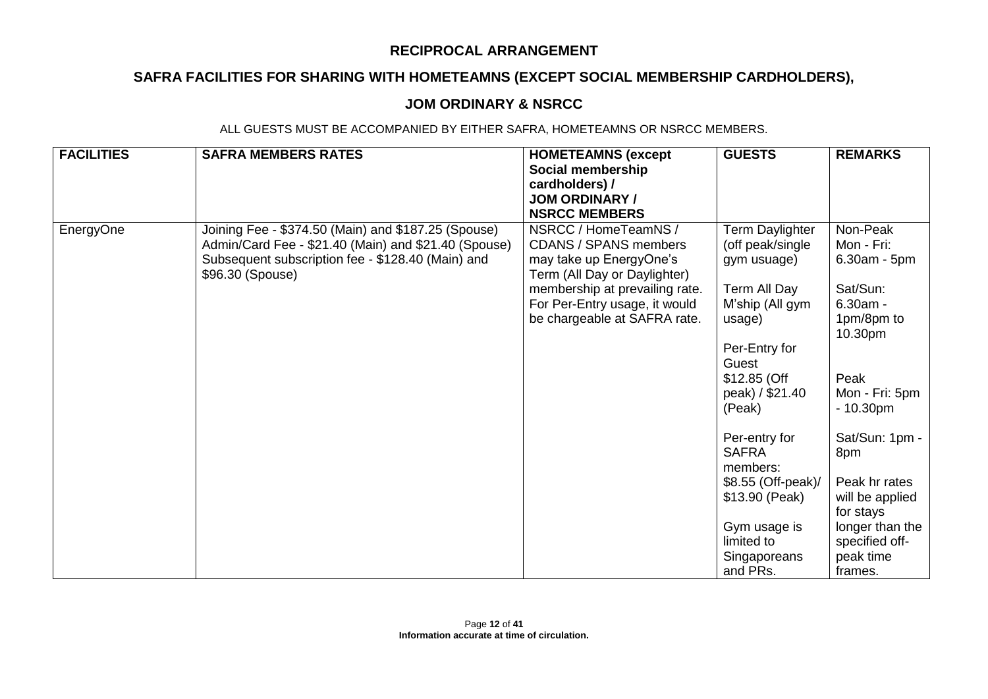# **SAFRA FACILITIES FOR SHARING WITH HOMETEAMNS (EXCEPT SOCIAL MEMBERSHIP CARDHOLDERS),**

### **JOM ORDINARY & NSRCC**

| <b>FACILITIES</b><br><b>SAFRA MEMBERS RATES</b>                                                                                                                                                   | <b>HOMETEAMNS (except</b><br>Social membership<br>cardholders) /<br><b>JOM ORDINARY /</b><br><b>NSRCC MEMBERS</b>                                                                                                  | <b>GUESTS</b>                                                                                                                                                                                                                                                                                                         | <b>REMARKS</b>                                                                                                                                                                                                                                                           |
|---------------------------------------------------------------------------------------------------------------------------------------------------------------------------------------------------|--------------------------------------------------------------------------------------------------------------------------------------------------------------------------------------------------------------------|-----------------------------------------------------------------------------------------------------------------------------------------------------------------------------------------------------------------------------------------------------------------------------------------------------------------------|--------------------------------------------------------------------------------------------------------------------------------------------------------------------------------------------------------------------------------------------------------------------------|
| EnergyOne<br>Joining Fee - \$374.50 (Main) and \$187.25 (Spouse)<br>Admin/Card Fee - \$21.40 (Main) and \$21.40 (Spouse)<br>Subsequent subscription fee - \$128.40 (Main) and<br>\$96.30 (Spouse) | NSRCC / HomeTeamNS /<br><b>CDANS / SPANS members</b><br>may take up EnergyOne's<br>Term (All Day or Daylighter)<br>membership at prevailing rate.<br>For Per-Entry usage, it would<br>be chargeable at SAFRA rate. | Term Daylighter<br>(off peak/single<br>gym usuage)<br>Term All Day<br>M'ship (All gym<br>usage)<br>Per-Entry for<br>Guest<br>\$12.85 (Off<br>peak) / \$21.40<br>(Peak)<br>Per-entry for<br><b>SAFRA</b><br>members:<br>\$8.55 (Off-peak)/<br>\$13.90 (Peak)<br>Gym usage is<br>limited to<br>Singaporeans<br>and PRs. | Non-Peak<br>Mon - Fri:<br>6.30am - 5pm<br>Sat/Sun:<br>$6.30am -$<br>1pm/8pm to<br>10.30pm<br>Peak<br>Mon - Fri: 5pm<br>$-10.30pm$<br>Sat/Sun: 1pm -<br>8pm<br>Peak hr rates<br>will be applied<br>for stays<br>longer than the<br>specified off-<br>peak time<br>frames. |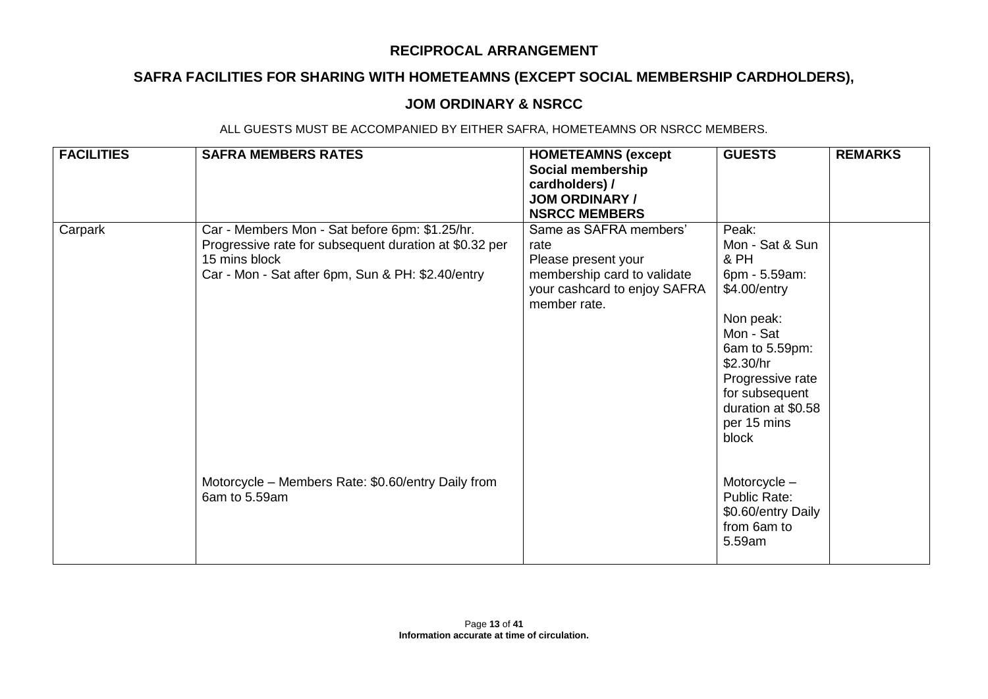# **SAFRA FACILITIES FOR SHARING WITH HOMETEAMNS (EXCEPT SOCIAL MEMBERSHIP CARDHOLDERS),**

### **JOM ORDINARY & NSRCC**

| <b>FACILITIES</b> | <b>SAFRA MEMBERS RATES</b>                                                                                                                                                     | <b>HOMETEAMNS (except</b><br>Social membership<br>cardholders) /<br><b>JOM ORDINARY /</b><br><b>NSRCC MEMBERS</b>                    | <b>GUESTS</b>                                                                                                                                                                                                  | <b>REMARKS</b> |
|-------------------|--------------------------------------------------------------------------------------------------------------------------------------------------------------------------------|--------------------------------------------------------------------------------------------------------------------------------------|----------------------------------------------------------------------------------------------------------------------------------------------------------------------------------------------------------------|----------------|
| Carpark           | Car - Members Mon - Sat before 6pm: \$1.25/hr.<br>Progressive rate for subsequent duration at \$0.32 per<br>15 mins block<br>Car - Mon - Sat after 6pm, Sun & PH: \$2.40/entry | Same as SAFRA members'<br>rate<br>Please present your<br>membership card to validate<br>your cashcard to enjoy SAFRA<br>member rate. | Peak:<br>Mon - Sat & Sun<br>& PH<br>6pm - 5.59am:<br>\$4.00/entry<br>Non peak:<br>Mon - Sat<br>6am to 5.59pm:<br>\$2.30/hr<br>Progressive rate<br>for subsequent<br>duration at \$0.58<br>per 15 mins<br>block |                |
|                   | Motorcycle – Members Rate: \$0.60/entry Daily from<br>6am to 5.59am                                                                                                            |                                                                                                                                      | Motorcycle -<br>Public Rate:<br>\$0.60/entry Daily<br>from 6am to<br>5.59am                                                                                                                                    |                |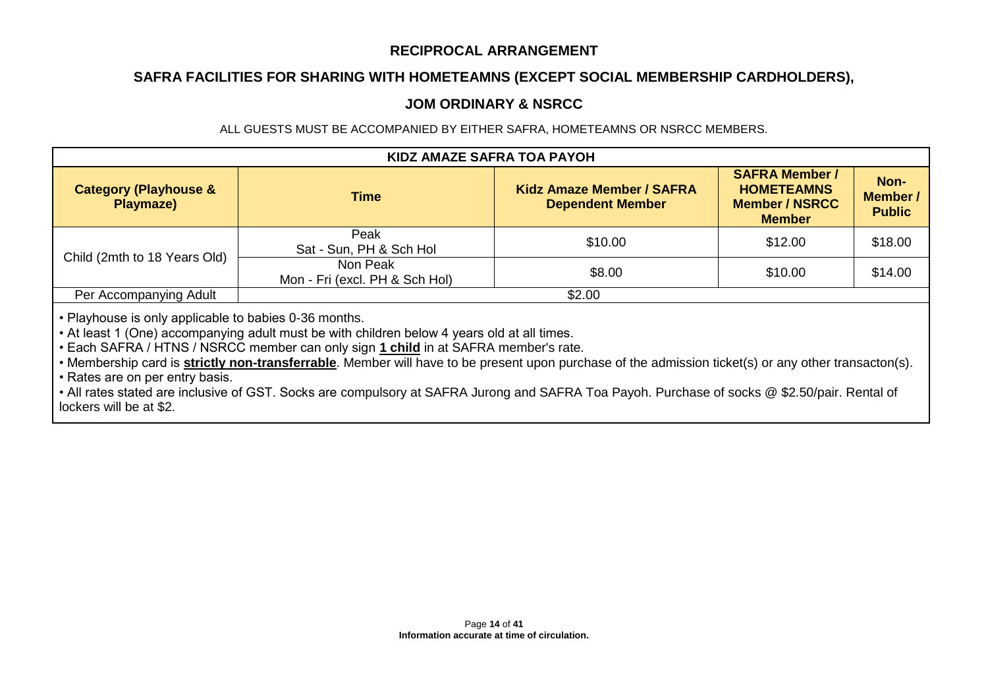## **SAFRA FACILITIES FOR SHARING WITH HOMETEAMNS (EXCEPT SOCIAL MEMBERSHIP CARDHOLDERS),**

### **JOM ORDINARY & NSRCC**

ALL GUESTS MUST BE ACCOMPANIED BY EITHER SAFRA, HOMETEAMNS OR NSRCC MEMBERS.

| <b>KIDZ AMAZE SAFRA TOA PAYOH</b>             |                                            |                                                             |                                                                                      |                                          |  |
|-----------------------------------------------|--------------------------------------------|-------------------------------------------------------------|--------------------------------------------------------------------------------------|------------------------------------------|--|
| <b>Category (Playhouse &amp;</b><br>Playmaze) | <b>Time</b>                                | <b>Kidz Amaze Member / SAFRA</b><br><b>Dependent Member</b> | <b>SAFRA Member /</b><br><b>HOMETEAMNS</b><br><b>Member / NSRCC</b><br><b>Member</b> | Non-<br><b>Member /</b><br><b>Public</b> |  |
| Child (2mth to 18 Years Old)                  | Peak<br>Sat - Sun, PH & Sch Hol            | \$10.00                                                     | \$12.00                                                                              | \$18.00                                  |  |
|                                               | Non Peak<br>Mon - Fri (excl. PH & Sch Hol) | \$8.00                                                      | \$10.00                                                                              | \$14.00                                  |  |
| Per Accompanying Adult                        |                                            | \$2.00                                                      |                                                                                      |                                          |  |

• Playhouse is only applicable to babies 0-36 months.

• At least 1 (One) accompanying adult must be with children below 4 years old at all times.

• Each SAFRA / HTNS / NSRCC member can only sign **1 child** in at SAFRA member's rate.

• Membership card is **strictly non-transferrable**. Member will have to be present upon purchase of the admission ticket(s) or any other transacton(s).

• Rates are on per entry basis.

• All rates stated are inclusive of GST. Socks are compulsory at SAFRA Jurong and SAFRA Toa Payoh. Purchase of socks @ \$2.50/pair. Rental of lockers will be at \$2.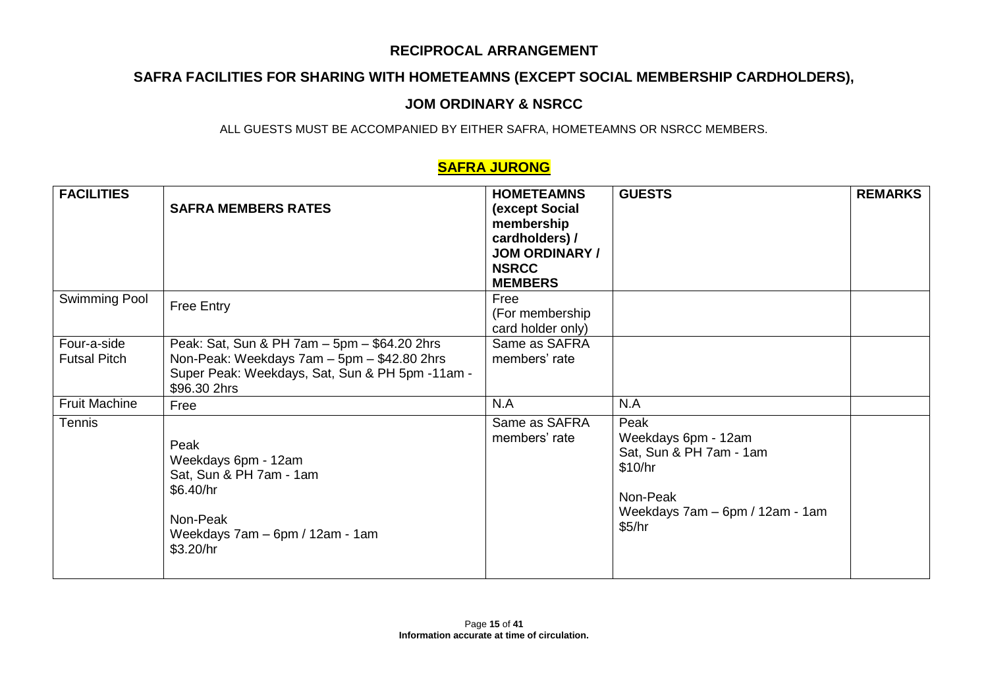# **SAFRA FACILITIES FOR SHARING WITH HOMETEAMNS (EXCEPT SOCIAL MEMBERSHIP CARDHOLDERS),**

## **JOM ORDINARY & NSRCC**

ALL GUESTS MUST BE ACCOMPANIED BY EITHER SAFRA, HOMETEAMNS OR NSRCC MEMBERS.

## **SAFRA JURONG**

| <b>FACILITIES</b>                  | <b>SAFRA MEMBERS RATES</b>                                                                                                                                     | <b>HOMETEAMNS</b><br>(except Social<br>membership<br>cardholders) /<br><b>JOM ORDINARY /</b><br><b>NSRCC</b><br><b>MEMBERS</b> | <b>GUESTS</b>                                                                                                              | <b>REMARKS</b> |
|------------------------------------|----------------------------------------------------------------------------------------------------------------------------------------------------------------|--------------------------------------------------------------------------------------------------------------------------------|----------------------------------------------------------------------------------------------------------------------------|----------------|
| Swimming Pool                      | <b>Free Entry</b>                                                                                                                                              | Free<br>(For membership<br>card holder only)                                                                                   |                                                                                                                            |                |
| Four-a-side<br><b>Futsal Pitch</b> | Peak: Sat, Sun & PH 7am - 5pm - \$64.20 2hrs<br>Non-Peak: Weekdays 7am - 5pm - \$42.80 2hrs<br>Super Peak: Weekdays, Sat, Sun & PH 5pm -11am -<br>\$96.30 2hrs | Same as SAFRA<br>members' rate                                                                                                 |                                                                                                                            |                |
| <b>Fruit Machine</b>               | Free                                                                                                                                                           | N.A                                                                                                                            | N.A                                                                                                                        |                |
| Tennis                             | Peak<br>Weekdays 6pm - 12am<br>Sat, Sun & PH 7am - 1am<br>\$6.40/hr<br>Non-Peak<br>Weekdays 7am - 6pm / 12am - 1am<br>\$3.20/hr                                | Same as SAFRA<br>members' rate                                                                                                 | Peak<br>Weekdays 6pm - 12am<br>Sat, Sun & PH 7am - 1am<br>\$10/hr<br>Non-Peak<br>Weekdays 7am - 6pm / 12am - 1am<br>\$5/hr |                |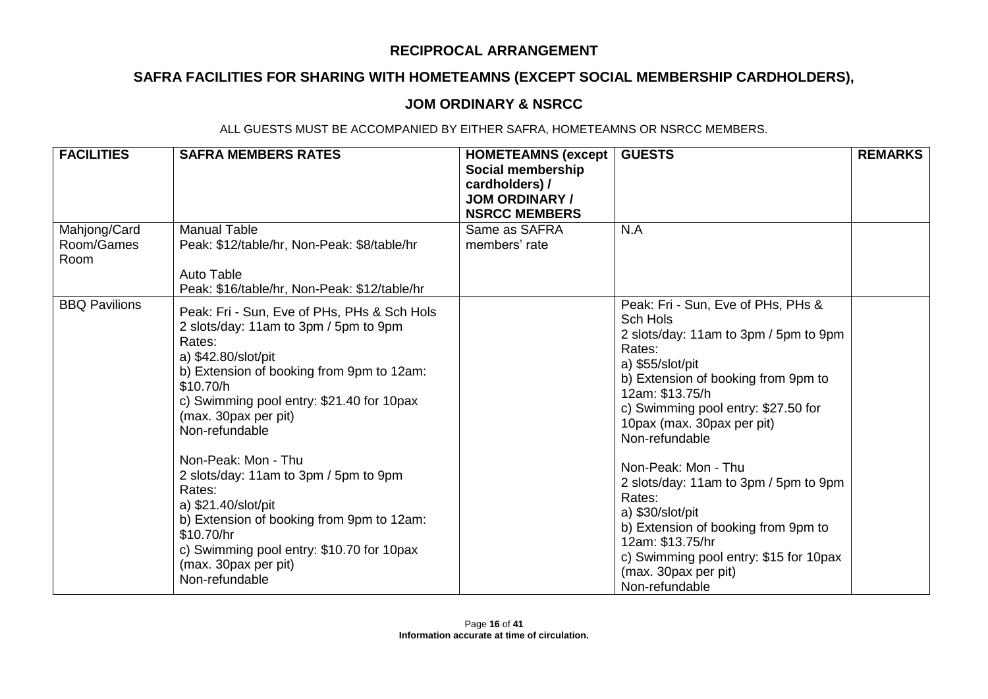# **SAFRA FACILITIES FOR SHARING WITH HOMETEAMNS (EXCEPT SOCIAL MEMBERSHIP CARDHOLDERS),**

## **JOM ORDINARY & NSRCC**

| <b>FACILITIES</b>                  | <b>SAFRA MEMBERS RATES</b>                                                                                                                                                                                                                                              | <b>HOMETEAMNS (except</b><br>Social membership<br>cardholders) /<br><b>JOM ORDINARY/</b><br><b>NSRCC MEMBERS</b> | <b>GUESTS</b>                                                                                                                                                                                                                                                          | <b>REMARKS</b> |
|------------------------------------|-------------------------------------------------------------------------------------------------------------------------------------------------------------------------------------------------------------------------------------------------------------------------|------------------------------------------------------------------------------------------------------------------|------------------------------------------------------------------------------------------------------------------------------------------------------------------------------------------------------------------------------------------------------------------------|----------------|
| Mahjong/Card<br>Room/Games<br>Room | <b>Manual Table</b><br>Peak: \$12/table/hr, Non-Peak: \$8/table/hr<br>Auto Table<br>Peak: \$16/table/hr, Non-Peak: \$12/table/hr                                                                                                                                        | Same as SAFRA<br>members' rate                                                                                   | N.A                                                                                                                                                                                                                                                                    |                |
| <b>BBQ Pavilions</b>               | Peak: Fri - Sun, Eve of PHs, PHs & Sch Hols<br>2 slots/day: 11am to 3pm / 5pm to 9pm<br>Rates:<br>a) \$42.80/slot/pit<br>b) Extension of booking from 9pm to 12am:<br>\$10.70/h<br>c) Swimming pool entry: \$21.40 for 10pax<br>(max. 30 pax per pit)<br>Non-refundable |                                                                                                                  | Peak: Fri - Sun, Eve of PHs, PHs &<br>Sch Hols<br>2 slots/day: 11am to 3pm / 5pm to 9pm<br>Rates:<br>a) \$55/slot/pit<br>b) Extension of booking from 9pm to<br>12am: \$13.75/h<br>c) Swimming pool entry: \$27.50 for<br>10pax (max. 30pax per pit)<br>Non-refundable |                |
|                                    | Non-Peak: Mon - Thu<br>2 slots/day: 11am to 3pm / 5pm to 9pm<br>Rates:<br>a) \$21.40/slot/pit<br>b) Extension of booking from 9pm to 12am:<br>\$10.70/hr<br>c) Swimming pool entry: \$10.70 for 10pax<br>(max. 30 pax per pit)<br>Non-refundable                        |                                                                                                                  | Non-Peak: Mon - Thu<br>2 slots/day: 11am to 3pm / 5pm to 9pm<br>Rates:<br>a) \$30/slot/pit<br>b) Extension of booking from 9pm to<br>12am: \$13.75/hr<br>c) Swimming pool entry: \$15 for 10pax<br>(max. 30pax per pit)<br>Non-refundable                              |                |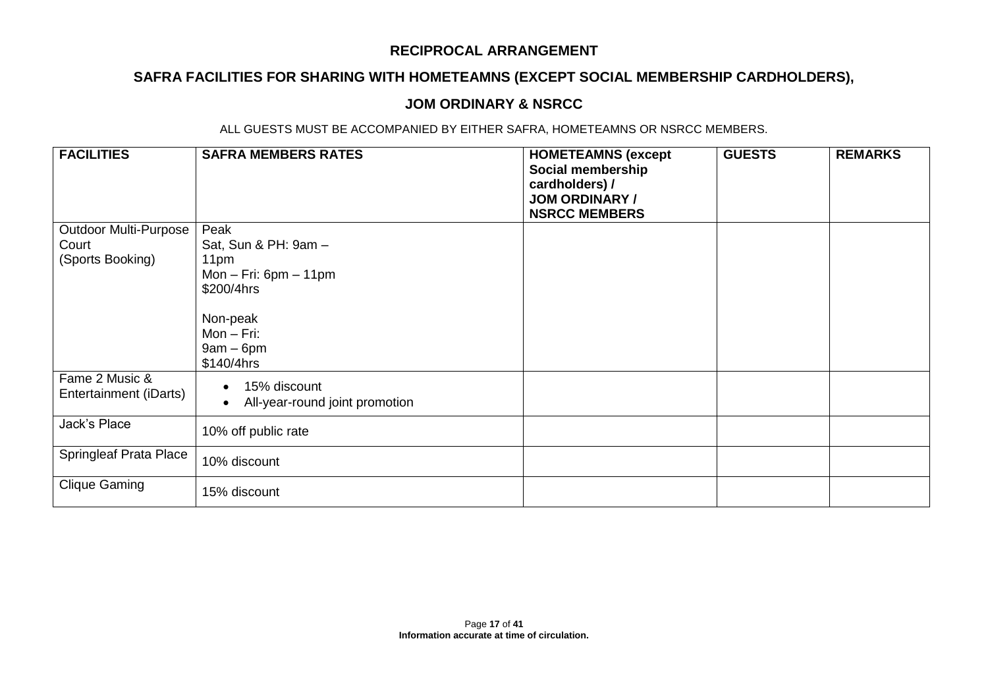# **SAFRA FACILITIES FOR SHARING WITH HOMETEAMNS (EXCEPT SOCIAL MEMBERSHIP CARDHOLDERS),**

### **JOM ORDINARY & NSRCC**

| <b>FACILITIES</b>                        | <b>SAFRA MEMBERS RATES</b>                             | <b>HOMETEAMNS (except</b><br>Social membership<br>cardholders) /<br><b>JOM ORDINARY /</b><br><b>NSRCC MEMBERS</b> | <b>GUESTS</b> | <b>REMARKS</b> |
|------------------------------------------|--------------------------------------------------------|-------------------------------------------------------------------------------------------------------------------|---------------|----------------|
| <b>Outdoor Multi-Purpose</b>             | Peak                                                   |                                                                                                                   |               |                |
| Court                                    | Sat, Sun & PH: 9am -                                   |                                                                                                                   |               |                |
| (Sports Booking)                         | 11pm                                                   |                                                                                                                   |               |                |
|                                          | Mon $-$ Fri: 6pm $-$ 11pm                              |                                                                                                                   |               |                |
|                                          | \$200/4hrs                                             |                                                                                                                   |               |                |
|                                          | Non-peak<br>$Mon - Fri$ :<br>$9am - 6pm$<br>\$140/4hrs |                                                                                                                   |               |                |
| Fame 2 Music &<br>Entertainment (iDarts) | 15% discount<br>All-year-round joint promotion         |                                                                                                                   |               |                |
| Jack's Place                             | 10% off public rate                                    |                                                                                                                   |               |                |
| Springleaf Prata Place                   | 10% discount                                           |                                                                                                                   |               |                |
| <b>Clique Gaming</b>                     | 15% discount                                           |                                                                                                                   |               |                |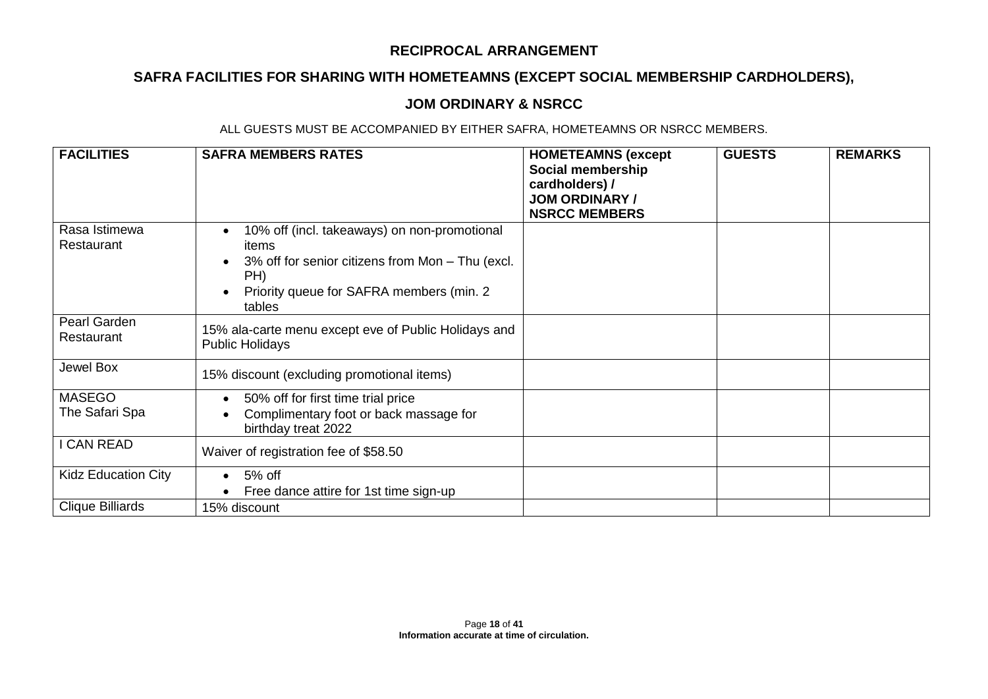# **SAFRA FACILITIES FOR SHARING WITH HOMETEAMNS (EXCEPT SOCIAL MEMBERSHIP CARDHOLDERS),**

### **JOM ORDINARY & NSRCC**

| <b>FACILITIES</b>               | <b>SAFRA MEMBERS RATES</b>                                                                                                                                                           | <b>HOMETEAMNS (except</b><br>Social membership<br>cardholders) /<br><b>JOM ORDINARY /</b><br><b>NSRCC MEMBERS</b> | <b>GUESTS</b> | <b>REMARKS</b> |
|---------------------------------|--------------------------------------------------------------------------------------------------------------------------------------------------------------------------------------|-------------------------------------------------------------------------------------------------------------------|---------------|----------------|
| Rasa Istimewa<br>Restaurant     | 10% off (incl. takeaways) on non-promotional<br>items<br>3% off for senior citizens from Mon - Thu (excl.<br>$\bullet$<br>PH)<br>Priority queue for SAFRA members (min. 2)<br>tables |                                                                                                                   |               |                |
| Pearl Garden<br>Restaurant      | 15% ala-carte menu except eve of Public Holidays and<br><b>Public Holidays</b>                                                                                                       |                                                                                                                   |               |                |
| Jewel Box                       | 15% discount (excluding promotional items)                                                                                                                                           |                                                                                                                   |               |                |
| <b>MASEGO</b><br>The Safari Spa | 50% off for first time trial price<br>Complimentary foot or back massage for<br>birthday treat 2022                                                                                  |                                                                                                                   |               |                |
| I CAN READ                      | Waiver of registration fee of \$58.50                                                                                                                                                |                                                                                                                   |               |                |
| <b>Kidz Education City</b>      | 5% off<br>$\bullet$<br>Free dance attire for 1st time sign-up                                                                                                                        |                                                                                                                   |               |                |
| <b>Clique Billiards</b>         | 15% discount                                                                                                                                                                         |                                                                                                                   |               |                |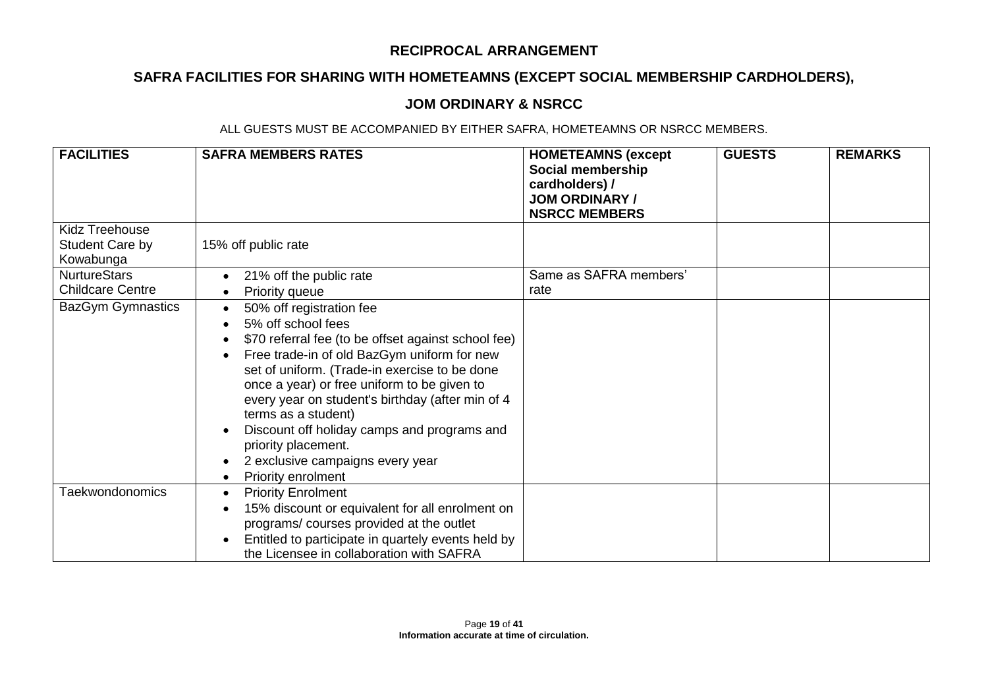# **SAFRA FACILITIES FOR SHARING WITH HOMETEAMNS (EXCEPT SOCIAL MEMBERSHIP CARDHOLDERS),**

### **JOM ORDINARY & NSRCC**

| <b>FACILITIES</b>                              | <b>SAFRA MEMBERS RATES</b>                                                                                                                                                                                                                                                                                                                                                                                                                                      | <b>HOMETEAMNS (except</b><br>Social membership<br>cardholders) /<br><b>JOM ORDINARY /</b><br><b>NSRCC MEMBERS</b> | <b>GUESTS</b> | <b>REMARKS</b> |
|------------------------------------------------|-----------------------------------------------------------------------------------------------------------------------------------------------------------------------------------------------------------------------------------------------------------------------------------------------------------------------------------------------------------------------------------------------------------------------------------------------------------------|-------------------------------------------------------------------------------------------------------------------|---------------|----------------|
| Kidz Treehouse<br>Student Care by<br>Kowabunga | 15% off public rate                                                                                                                                                                                                                                                                                                                                                                                                                                             |                                                                                                                   |               |                |
| <b>NurtureStars</b><br><b>Childcare Centre</b> | 21% off the public rate<br>Priority queue                                                                                                                                                                                                                                                                                                                                                                                                                       | Same as SAFRA members'<br>rate                                                                                    |               |                |
| <b>BazGym Gymnastics</b>                       | 50% off registration fee<br>5% off school fees<br>\$70 referral fee (to be offset against school fee)<br>Free trade-in of old BazGym uniform for new<br>set of uniform. (Trade-in exercise to be done<br>once a year) or free uniform to be given to<br>every year on student's birthday (after min of 4<br>terms as a student)<br>Discount off holiday camps and programs and<br>priority placement.<br>2 exclusive campaigns every year<br>Priority enrolment |                                                                                                                   |               |                |
| <b>Taekwondonomics</b>                         | <b>Priority Enrolment</b><br>$\bullet$<br>15% discount or equivalent for all enrolment on<br>programs/ courses provided at the outlet<br>Entitled to participate in quartely events held by<br>the Licensee in collaboration with SAFRA                                                                                                                                                                                                                         |                                                                                                                   |               |                |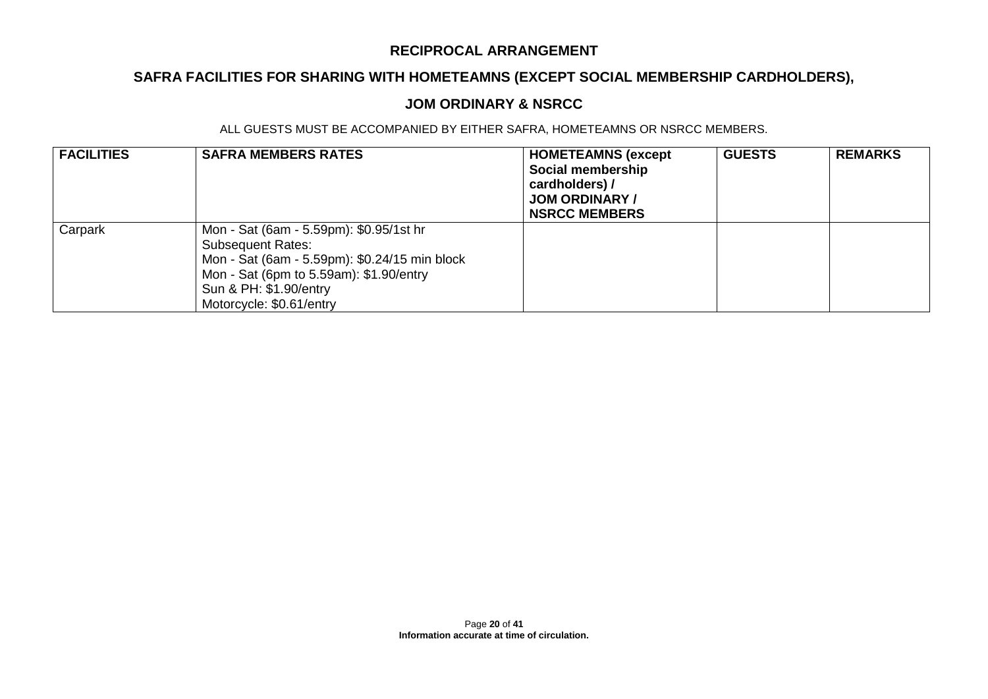# **SAFRA FACILITIES FOR SHARING WITH HOMETEAMNS (EXCEPT SOCIAL MEMBERSHIP CARDHOLDERS),**

### **JOM ORDINARY & NSRCC**

| <b>FACILITIES</b> | <b>SAFRA MEMBERS RATES</b>                                                                                                                                                                                            | <b>HOMETEAMNS (except</b><br>Social membership<br>cardholders) /<br><b>JOM ORDINARY /</b><br><b>NSRCC MEMBERS</b> | <b>GUESTS</b> | <b>REMARKS</b> |
|-------------------|-----------------------------------------------------------------------------------------------------------------------------------------------------------------------------------------------------------------------|-------------------------------------------------------------------------------------------------------------------|---------------|----------------|
| Carpark           | Mon - Sat (6am - 5.59pm): \$0.95/1st hr<br><b>Subsequent Rates:</b><br>Mon - Sat (6am - 5.59pm): \$0.24/15 min block<br>Mon - Sat (6pm to 5.59am): \$1.90/entry<br>Sun & PH: \$1.90/entry<br>Motorcycle: \$0.61/entry |                                                                                                                   |               |                |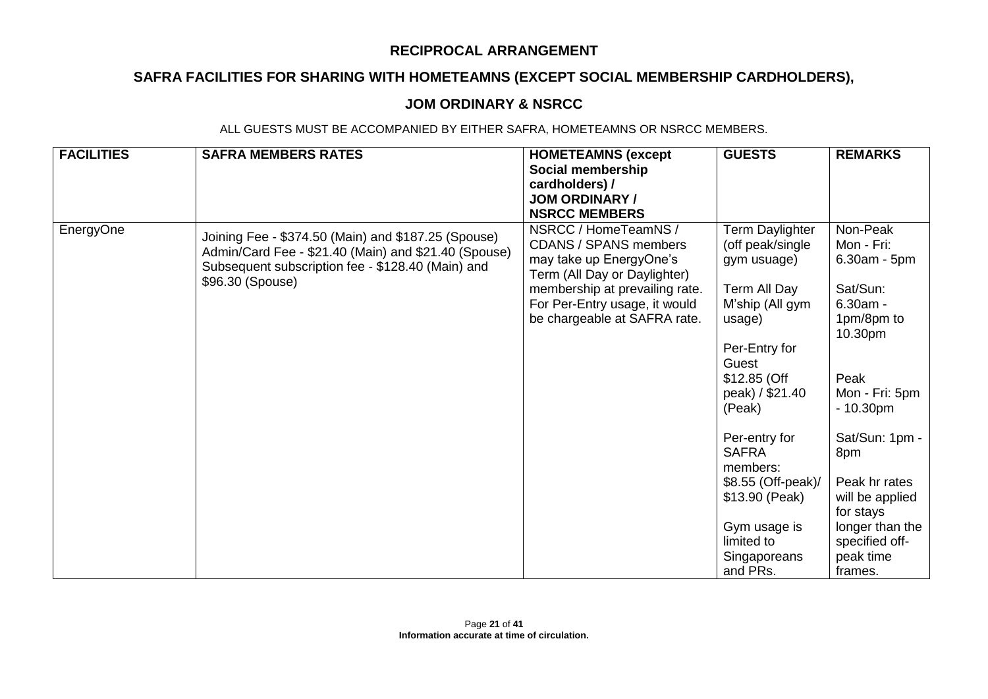# **SAFRA FACILITIES FOR SHARING WITH HOMETEAMNS (EXCEPT SOCIAL MEMBERSHIP CARDHOLDERS),**

### **JOM ORDINARY & NSRCC**

| <b>FACILITIES</b> | <b>SAFRA MEMBERS RATES</b>                                                                                                                                                           | <b>HOMETEAMNS (except</b>                                                                                                                                                                                          | <b>GUESTS</b>                                                                                                                                                                                           | <b>REMARKS</b>                                                                                                                                               |
|-------------------|--------------------------------------------------------------------------------------------------------------------------------------------------------------------------------------|--------------------------------------------------------------------------------------------------------------------------------------------------------------------------------------------------------------------|---------------------------------------------------------------------------------------------------------------------------------------------------------------------------------------------------------|--------------------------------------------------------------------------------------------------------------------------------------------------------------|
|                   |                                                                                                                                                                                      | Social membership                                                                                                                                                                                                  |                                                                                                                                                                                                         |                                                                                                                                                              |
|                   |                                                                                                                                                                                      | cardholders) /                                                                                                                                                                                                     |                                                                                                                                                                                                         |                                                                                                                                                              |
|                   |                                                                                                                                                                                      | <b>JOM ORDINARY /</b>                                                                                                                                                                                              |                                                                                                                                                                                                         |                                                                                                                                                              |
|                   |                                                                                                                                                                                      | <b>NSRCC MEMBERS</b>                                                                                                                                                                                               |                                                                                                                                                                                                         |                                                                                                                                                              |
| EnergyOne         | Joining Fee - \$374.50 (Main) and \$187.25 (Spouse)<br>Admin/Card Fee - \$21.40 (Main) and \$21.40 (Spouse)<br>Subsequent subscription fee - \$128.40 (Main) and<br>\$96.30 (Spouse) | NSRCC / HomeTeamNS /<br><b>CDANS / SPANS members</b><br>may take up EnergyOne's<br>Term (All Day or Daylighter)<br>membership at prevailing rate.<br>For Per-Entry usage, it would<br>be chargeable at SAFRA rate. | Term Daylighter<br>(off peak/single<br>gym usuage)<br>Term All Day<br>M'ship (All gym<br>usage)<br>Per-Entry for<br>Guest<br>\$12.85 (Off<br>peak) / \$21.40<br>(Peak)<br>Per-entry for<br><b>SAFRA</b> | Non-Peak<br>Mon - Fri:<br>$6.30am - 5pm$<br>Sat/Sun:<br>$6.30am -$<br>1pm/8pm to<br>10.30pm<br>Peak<br>Mon - Fri: 5pm<br>$-10.30pm$<br>Sat/Sun: 1pm -<br>8pm |
|                   |                                                                                                                                                                                      |                                                                                                                                                                                                                    | members:<br>\$8.55 (Off-peak)/<br>\$13.90 (Peak)<br>Gym usage is                                                                                                                                        | Peak hr rates<br>will be applied<br>for stays<br>longer than the                                                                                             |
|                   |                                                                                                                                                                                      |                                                                                                                                                                                                                    | limited to                                                                                                                                                                                              | specified off-                                                                                                                                               |
|                   |                                                                                                                                                                                      |                                                                                                                                                                                                                    | Singaporeans<br>and PRs.                                                                                                                                                                                | peak time<br>frames.                                                                                                                                         |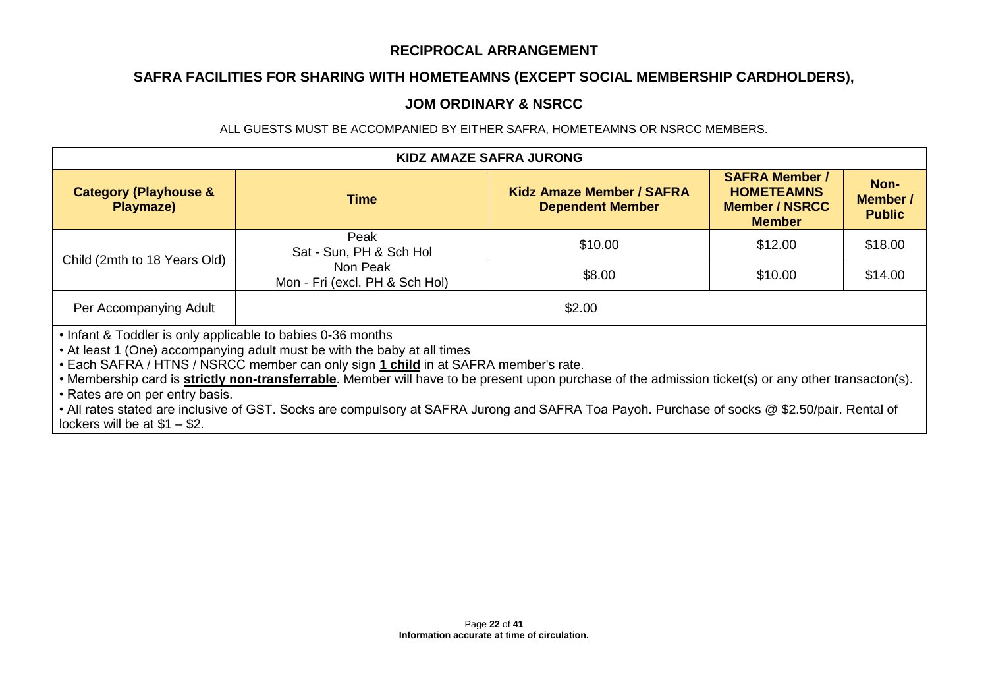# **SAFRA FACILITIES FOR SHARING WITH HOMETEAMNS (EXCEPT SOCIAL MEMBERSHIP CARDHOLDERS),**

### **JOM ORDINARY & NSRCC**

| <b>KIDZ AMAZE SAFRA JURONG</b>                                                                                                                                                                                                                                                                                                                                                                                                                                                                                                                                                                                       |                                            |                                                             |                                                                                      |                                   |
|----------------------------------------------------------------------------------------------------------------------------------------------------------------------------------------------------------------------------------------------------------------------------------------------------------------------------------------------------------------------------------------------------------------------------------------------------------------------------------------------------------------------------------------------------------------------------------------------------------------------|--------------------------------------------|-------------------------------------------------------------|--------------------------------------------------------------------------------------|-----------------------------------|
| <b>Category (Playhouse &amp;</b><br>Playmaze)                                                                                                                                                                                                                                                                                                                                                                                                                                                                                                                                                                        | Time                                       | <b>Kidz Amaze Member / SAFRA</b><br><b>Dependent Member</b> | <b>SAFRA Member /</b><br><b>HOMETEAMNS</b><br><b>Member / NSRCC</b><br><b>Member</b> | Non-<br>Member /<br><b>Public</b> |
| Child (2mth to 18 Years Old)                                                                                                                                                                                                                                                                                                                                                                                                                                                                                                                                                                                         | Peak<br>Sat - Sun, PH & Sch Hol            | \$10.00                                                     | \$12.00                                                                              | \$18.00                           |
|                                                                                                                                                                                                                                                                                                                                                                                                                                                                                                                                                                                                                      | Non Peak<br>Mon - Fri (excl. PH & Sch Hol) | \$8.00                                                      | \$10.00                                                                              | \$14.00                           |
| Per Accompanying Adult                                                                                                                                                                                                                                                                                                                                                                                                                                                                                                                                                                                               | \$2.00                                     |                                                             |                                                                                      |                                   |
| • Infant & Toddler is only applicable to babies 0-36 months<br>• At least 1 (One) accompanying adult must be with the baby at all times<br>. Each SAFRA / HTNS / NSRCC member can only sign 1 child in at SAFRA member's rate.<br>• Membership card is <b>strictly non-transferrable</b> . Member will have to be present upon purchase of the admission ticket(s) or any other transacton(s).<br>• Rates are on per entry basis.<br>• All rates stated are inclusive of GST. Socks are compulsory at SAFRA Jurong and SAFRA Toa Payoh. Purchase of socks @ \$2.50/pair. Rental of<br>lockers will be at $$1 - $2$ . |                                            |                                                             |                                                                                      |                                   |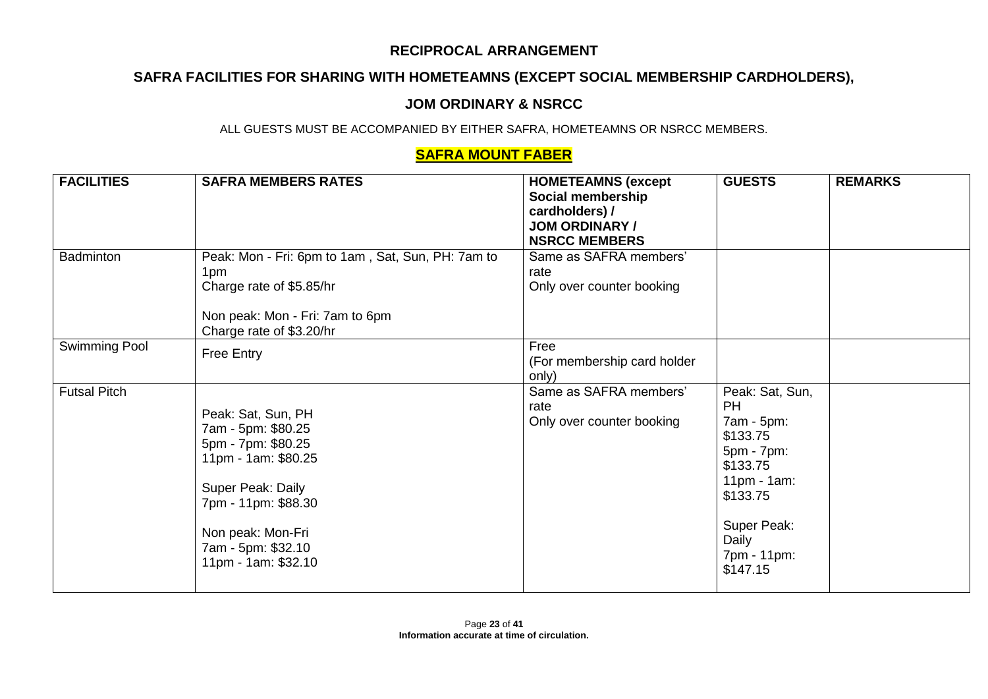# **SAFRA FACILITIES FOR SHARING WITH HOMETEAMNS (EXCEPT SOCIAL MEMBERSHIP CARDHOLDERS),**

### **JOM ORDINARY & NSRCC**

ALL GUESTS MUST BE ACCOMPANIED BY EITHER SAFRA, HOMETEAMNS OR NSRCC MEMBERS.

## **SAFRA MOUNT FABER**

| <b>FACILITIES</b>   | <b>SAFRA MEMBERS RATES</b>                                                                                                                                                                          | <b>HOMETEAMNS (except</b><br>Social membership<br>cardholders) /<br><b>JOM ORDINARY /</b><br><b>NSRCC MEMBERS</b> | <b>GUESTS</b>                                                                                                                                                     | <b>REMARKS</b> |
|---------------------|-----------------------------------------------------------------------------------------------------------------------------------------------------------------------------------------------------|-------------------------------------------------------------------------------------------------------------------|-------------------------------------------------------------------------------------------------------------------------------------------------------------------|----------------|
| Badminton           | Peak: Mon - Fri: 6pm to 1am, Sat, Sun, PH: 7am to<br>1pm<br>Charge rate of \$5.85/hr<br>Non peak: Mon - Fri: 7am to 6pm<br>Charge rate of \$3.20/hr                                                 | Same as SAFRA members'<br>rate<br>Only over counter booking                                                       |                                                                                                                                                                   |                |
| Swimming Pool       | Free Entry                                                                                                                                                                                          | Free<br>(For membership card holder<br>only)                                                                      |                                                                                                                                                                   |                |
| <b>Futsal Pitch</b> | Peak: Sat, Sun, PH<br>7am - 5pm: \$80.25<br>5pm - 7pm: \$80.25<br>11pm - 1am: \$80.25<br>Super Peak: Daily<br>7pm - 11pm: \$88.30<br>Non peak: Mon-Fri<br>7am - 5pm: \$32.10<br>11pm - 1am: \$32.10 | Same as SAFRA members'<br>rate<br>Only over counter booking                                                       | Peak: Sat, Sun,<br><b>PH</b><br>7am - 5pm:<br>\$133.75<br>5pm - 7pm:<br>\$133.75<br>$11pm - 1am$ :<br>\$133.75<br>Super Peak:<br>Daily<br>7pm - 11pm:<br>\$147.15 |                |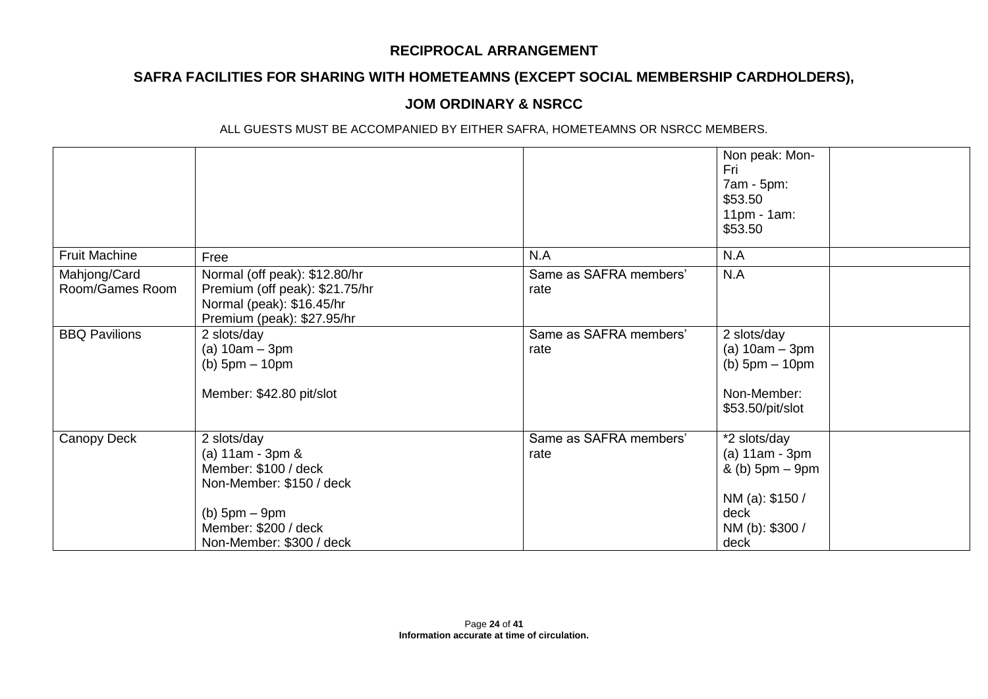## **SAFRA FACILITIES FOR SHARING WITH HOMETEAMNS (EXCEPT SOCIAL MEMBERSHIP CARDHOLDERS),**

## **JOM ORDINARY & NSRCC**

|                                 |                                                                                                                                                                |                                | Non peak: Mon-<br>Fri<br>7am - 5pm:<br>\$53.50<br>$11pm - 1am$ :<br>\$53.50                               |  |
|---------------------------------|----------------------------------------------------------------------------------------------------------------------------------------------------------------|--------------------------------|-----------------------------------------------------------------------------------------------------------|--|
| <b>Fruit Machine</b>            | Free                                                                                                                                                           | N.A                            | N.A                                                                                                       |  |
| Mahjong/Card<br>Room/Games Room | Normal (off peak): \$12.80/hr<br>Premium (off peak): \$21.75/hr<br>Normal (peak): \$16.45/hr<br>Premium (peak): \$27.95/hr                                     | Same as SAFRA members'<br>rate | N.A                                                                                                       |  |
| <b>BBQ Pavilions</b>            | 2 slots/day<br>(a) $10am - 3pm$<br>(b) $5pm - 10pm$<br>Member: \$42.80 pit/slot                                                                                | Same as SAFRA members'<br>rate | 2 slots/day<br>(a) $10am - 3pm$<br>(b) $5pm - 10pm$<br>Non-Member:<br>\$53.50/pit/slot                    |  |
| Canopy Deck                     | 2 slots/day<br>(a) $11am - 3pm 8$<br>Member: \$100 / deck<br>Non-Member: \$150 / deck<br>$(b)$ 5pm $-$ 9pm<br>Member: \$200 / deck<br>Non-Member: \$300 / deck | Same as SAFRA members'<br>rate | *2 slots/day<br>$(a)$ 11am - 3pm<br>& (b) 5pm – 9pm<br>NM (a): \$150 /<br>deck<br>NM (b): \$300 /<br>deck |  |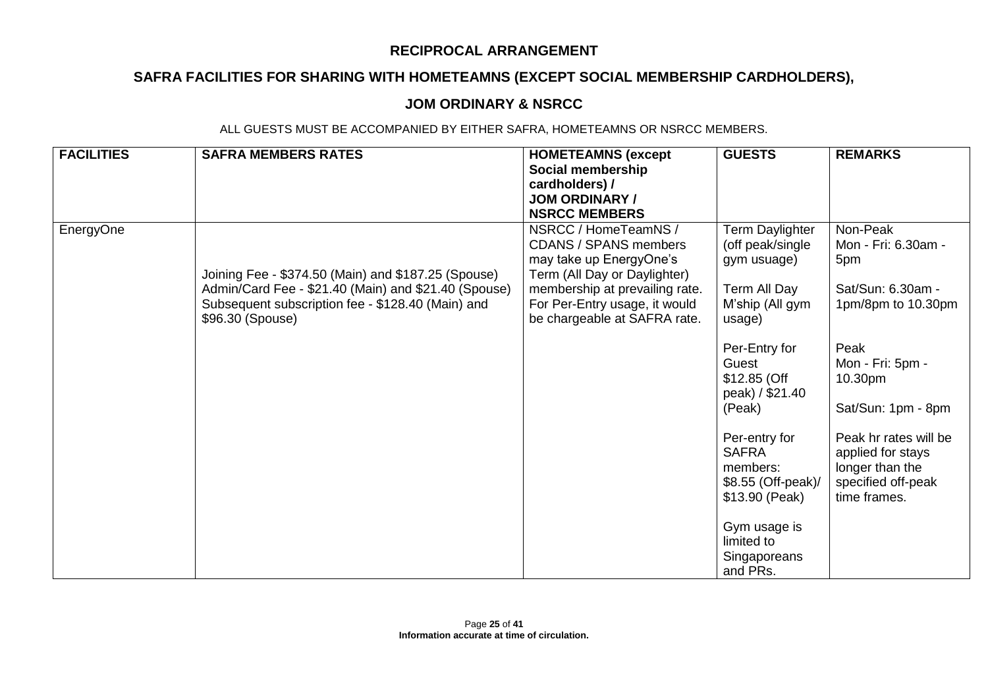# **SAFRA FACILITIES FOR SHARING WITH HOMETEAMNS (EXCEPT SOCIAL MEMBERSHIP CARDHOLDERS),**

### **JOM ORDINARY & NSRCC**

| <b>FACILITIES</b> | <b>SAFRA MEMBERS RATES</b>                                                                                                                                                           | <b>HOMETEAMNS (except</b><br>Social membership<br>cardholders) /<br><b>JOM ORDINARY /</b><br><b>NSRCC MEMBERS</b>                                                                                                  | <b>GUESTS</b>                                                                                   | <b>REMARKS</b>                                                                                      |
|-------------------|--------------------------------------------------------------------------------------------------------------------------------------------------------------------------------------|--------------------------------------------------------------------------------------------------------------------------------------------------------------------------------------------------------------------|-------------------------------------------------------------------------------------------------|-----------------------------------------------------------------------------------------------------|
| EnergyOne         | Joining Fee - \$374.50 (Main) and \$187.25 (Spouse)<br>Admin/Card Fee - \$21.40 (Main) and \$21.40 (Spouse)<br>Subsequent subscription fee - \$128.40 (Main) and<br>\$96.30 (Spouse) | NSRCC / HomeTeamNS /<br><b>CDANS / SPANS members</b><br>may take up EnergyOne's<br>Term (All Day or Daylighter)<br>membership at prevailing rate.<br>For Per-Entry usage, it would<br>be chargeable at SAFRA rate. | Term Daylighter<br>(off peak/single<br>gym usuage)<br>Term All Day<br>M'ship (All gym<br>usage) | Non-Peak<br>Mon - Fri: 6.30am -<br>5pm<br>Sat/Sun: 6.30am -<br>1pm/8pm to 10.30pm                   |
|                   |                                                                                                                                                                                      |                                                                                                                                                                                                                    | Per-Entry for<br>Guest<br>$$12.85$ (Off<br>peak) / \$21.40<br>(Peak)                            | Peak<br>Mon - Fri: 5pm -<br>10.30pm<br>Sat/Sun: 1pm - 8pm                                           |
|                   |                                                                                                                                                                                      |                                                                                                                                                                                                                    | Per-entry for<br><b>SAFRA</b><br>members:<br>\$8.55 (Off-peak)/<br>\$13.90 (Peak)               | Peak hr rates will be<br>applied for stays<br>longer than the<br>specified off-peak<br>time frames. |
|                   |                                                                                                                                                                                      |                                                                                                                                                                                                                    | Gym usage is<br>limited to<br>Singaporeans<br>and PRs.                                          |                                                                                                     |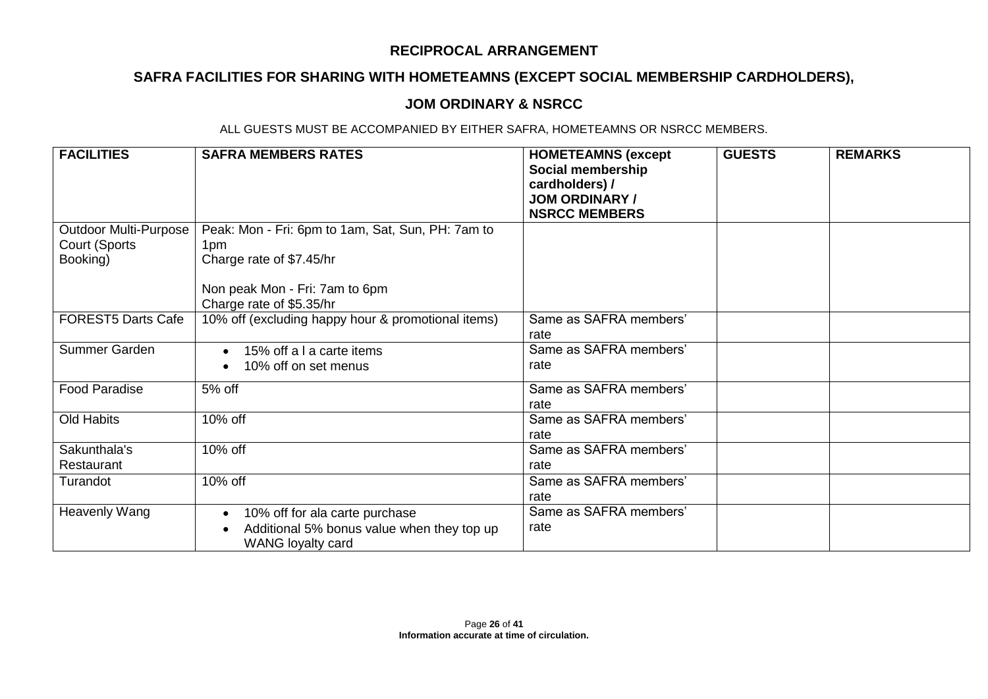# **SAFRA FACILITIES FOR SHARING WITH HOMETEAMNS (EXCEPT SOCIAL MEMBERSHIP CARDHOLDERS),**

### **JOM ORDINARY & NSRCC**

| <b>FACILITIES</b>                                         | <b>SAFRA MEMBERS RATES</b>                                                                        | <b>HOMETEAMNS (except</b><br>Social membership<br>cardholders) /<br><b>JOM ORDINARY /</b><br><b>NSRCC MEMBERS</b> | <b>GUESTS</b> | <b>REMARKS</b> |
|-----------------------------------------------------------|---------------------------------------------------------------------------------------------------|-------------------------------------------------------------------------------------------------------------------|---------------|----------------|
| <b>Outdoor Multi-Purpose</b><br>Court (Sports<br>Booking) | Peak: Mon - Fri: 6pm to 1am, Sat, Sun, PH: 7am to<br>1pm<br>Charge rate of \$7.45/hr              |                                                                                                                   |               |                |
|                                                           | Non peak Mon - Fri: 7am to 6pm<br>Charge rate of \$5.35/hr                                        |                                                                                                                   |               |                |
| <b>FOREST5 Darts Cafe</b>                                 | 10% off (excluding happy hour & promotional items)                                                | Same as SAFRA members'<br>rate                                                                                    |               |                |
| Summer Garden                                             | 15% off a I a carte items<br>10% off on set menus                                                 | Same as SAFRA members'<br>rate                                                                                    |               |                |
| <b>Food Paradise</b>                                      | 5% off                                                                                            | Same as SAFRA members'<br>rate                                                                                    |               |                |
| Old Habits                                                | 10% off                                                                                           | Same as SAFRA members'<br>rate                                                                                    |               |                |
| Sakunthala's<br>Restaurant                                | 10% off                                                                                           | Same as SAFRA members'<br>rate                                                                                    |               |                |
| Turandot                                                  | 10% off                                                                                           | Same as SAFRA members'<br>rate                                                                                    |               |                |
| Heavenly Wang                                             | 10% off for ala carte purchase<br>Additional 5% bonus value when they top up<br>WANG loyalty card | Same as SAFRA members'<br>rate                                                                                    |               |                |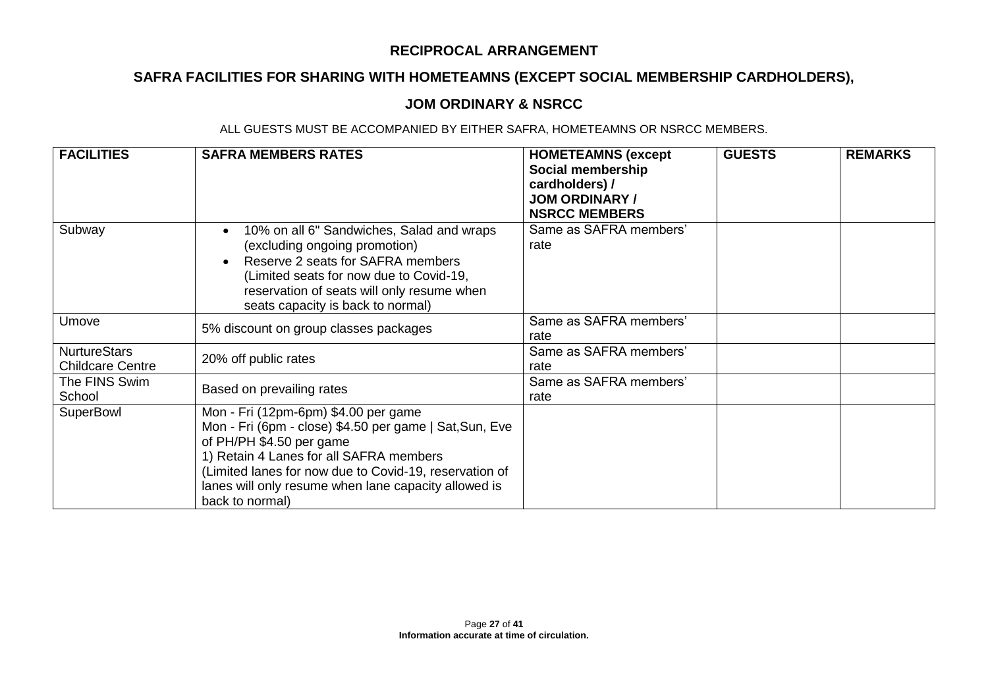# **SAFRA FACILITIES FOR SHARING WITH HOMETEAMNS (EXCEPT SOCIAL MEMBERSHIP CARDHOLDERS),**

### **JOM ORDINARY & NSRCC**

| <b>FACILITIES</b>                              | <b>SAFRA MEMBERS RATES</b>                                                                                                                                                                                                                                                                                  | <b>HOMETEAMNS (except</b><br>Social membership<br>cardholders) /<br><b>JOM ORDINARY /</b><br><b>NSRCC MEMBERS</b> | <b>GUESTS</b> | <b>REMARKS</b> |
|------------------------------------------------|-------------------------------------------------------------------------------------------------------------------------------------------------------------------------------------------------------------------------------------------------------------------------------------------------------------|-------------------------------------------------------------------------------------------------------------------|---------------|----------------|
| Subway                                         | 10% on all 6" Sandwiches, Salad and wraps<br>(excluding ongoing promotion)<br>Reserve 2 seats for SAFRA members<br>(Limited seats for now due to Covid-19,<br>reservation of seats will only resume when<br>seats capacity is back to normal)                                                               | Same as SAFRA members'<br>rate                                                                                    |               |                |
| Umove                                          | 5% discount on group classes packages                                                                                                                                                                                                                                                                       | Same as SAFRA members'<br>rate                                                                                    |               |                |
| <b>NurtureStars</b><br><b>Childcare Centre</b> | 20% off public rates                                                                                                                                                                                                                                                                                        | Same as SAFRA members'<br>rate                                                                                    |               |                |
| The FINS Swim<br>School                        | Based on prevailing rates                                                                                                                                                                                                                                                                                   | Same as SAFRA members'<br>rate                                                                                    |               |                |
| SuperBowl                                      | Mon - Fri (12pm-6pm) \$4.00 per game<br>Mon - Fri (6pm - close) \$4.50 per game   Sat, Sun, Eve<br>of PH/PH \$4.50 per game<br>1) Retain 4 Lanes for all SAFRA members<br>(Limited lanes for now due to Covid-19, reservation of<br>lanes will only resume when lane capacity allowed is<br>back to normal) |                                                                                                                   |               |                |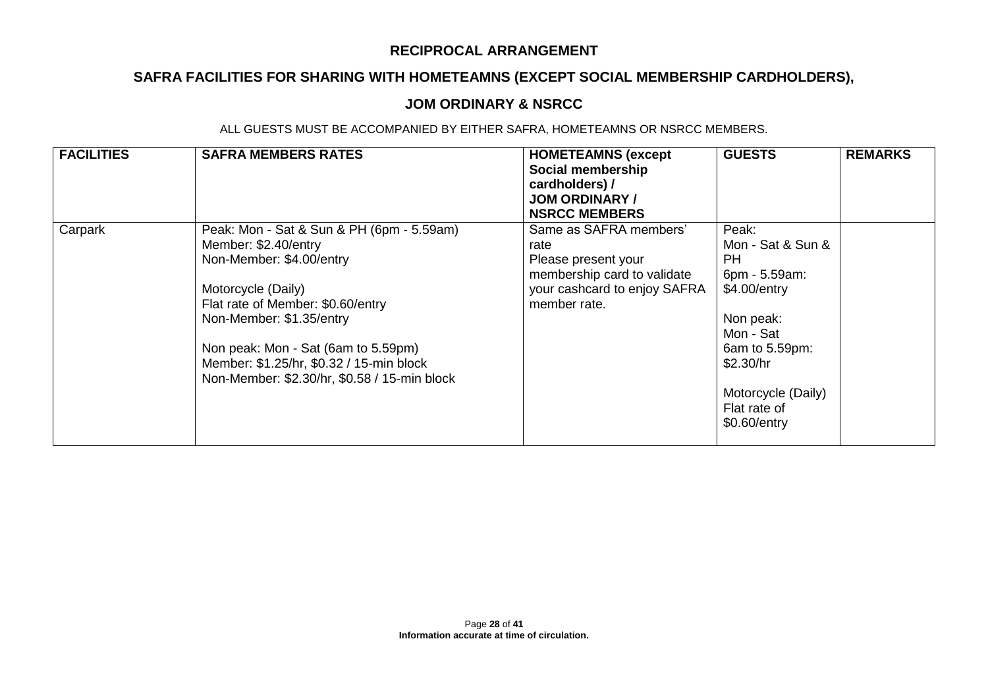# **SAFRA FACILITIES FOR SHARING WITH HOMETEAMNS (EXCEPT SOCIAL MEMBERSHIP CARDHOLDERS),**

### **JOM ORDINARY & NSRCC**

| <b>FACILITIES</b> | <b>SAFRA MEMBERS RATES</b>                                                                                                                                                                                                                                                                                              | <b>HOMETEAMNS (except</b><br>Social membership<br>cardholders) /<br><b>JOM ORDINARY /</b><br><b>NSRCC MEMBERS</b>                    | <b>GUESTS</b>                                                                                                                                                                    | <b>REMARKS</b> |
|-------------------|-------------------------------------------------------------------------------------------------------------------------------------------------------------------------------------------------------------------------------------------------------------------------------------------------------------------------|--------------------------------------------------------------------------------------------------------------------------------------|----------------------------------------------------------------------------------------------------------------------------------------------------------------------------------|----------------|
| Carpark           | Peak: Mon - Sat & Sun & PH (6pm - 5.59am)<br>Member: \$2.40/entry<br>Non-Member: \$4.00/entry<br>Motorcycle (Daily)<br>Flat rate of Member: \$0.60/entry<br>Non-Member: \$1.35/entry<br>Non peak: Mon - Sat (6am to 5.59pm)<br>Member: \$1.25/hr, \$0.32 / 15-min block<br>Non-Member: \$2.30/hr, \$0.58 / 15-min block | Same as SAFRA members'<br>rate<br>Please present your<br>membership card to validate<br>your cashcard to enjoy SAFRA<br>member rate. | Peak:<br>Mon - Sat & Sun &<br>PH<br>6pm - 5.59am:<br>\$4.00/entry<br>Non peak:<br>Mon - Sat<br>6am to 5.59pm:<br>\$2.30/hr<br>Motorcycle (Daily)<br>Flat rate of<br>\$0.60/entry |                |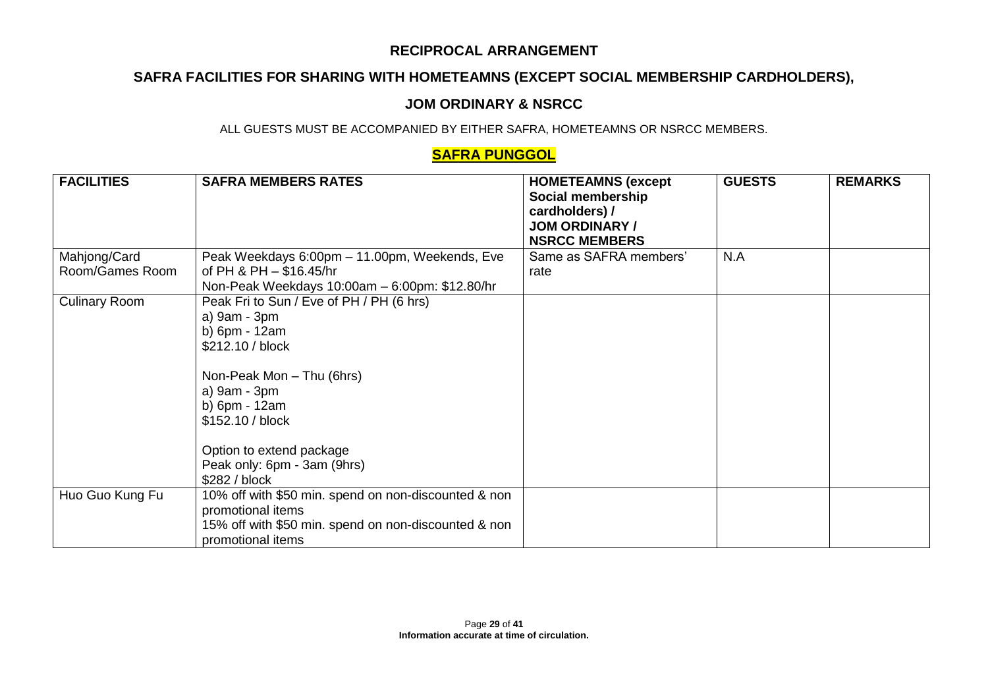# **SAFRA FACILITIES FOR SHARING WITH HOMETEAMNS (EXCEPT SOCIAL MEMBERSHIP CARDHOLDERS),**

### **JOM ORDINARY & NSRCC**

ALL GUESTS MUST BE ACCOMPANIED BY EITHER SAFRA, HOMETEAMNS OR NSRCC MEMBERS.

## **SAFRA PUNGGOL**

| <b>FACILITIES</b>    | <b>SAFRA MEMBERS RATES</b>                                                | <b>HOMETEAMNS (except</b><br>Social membership<br>cardholders) /<br><b>JOM ORDINARY /</b><br><b>NSRCC MEMBERS</b> | <b>GUESTS</b> | <b>REMARKS</b> |
|----------------------|---------------------------------------------------------------------------|-------------------------------------------------------------------------------------------------------------------|---------------|----------------|
| Mahjong/Card         | Peak Weekdays 6:00pm - 11.00pm, Weekends, Eve                             | Same as SAFRA members'                                                                                            | N.A           |                |
| Room/Games Room      | of PH & PH $-$ \$16.45/hr                                                 | rate                                                                                                              |               |                |
|                      | Non-Peak Weekdays 10:00am - 6:00pm: \$12.80/hr                            |                                                                                                                   |               |                |
| <b>Culinary Room</b> | Peak Fri to Sun / Eve of PH / PH (6 hrs)                                  |                                                                                                                   |               |                |
|                      | a) 9am - 3pm                                                              |                                                                                                                   |               |                |
|                      | b) 6pm - 12am                                                             |                                                                                                                   |               |                |
|                      | \$212.10 / block                                                          |                                                                                                                   |               |                |
|                      | Non-Peak Mon - Thu (6hrs)                                                 |                                                                                                                   |               |                |
|                      | a) 9am - 3pm                                                              |                                                                                                                   |               |                |
|                      | b) 6pm - 12am                                                             |                                                                                                                   |               |                |
|                      | \$152.10 / block                                                          |                                                                                                                   |               |                |
|                      | Option to extend package                                                  |                                                                                                                   |               |                |
|                      | Peak only: 6pm - 3am (9hrs)                                               |                                                                                                                   |               |                |
|                      | \$282 / block                                                             |                                                                                                                   |               |                |
| Huo Guo Kung Fu      | 10% off with \$50 min. spend on non-discounted & non                      |                                                                                                                   |               |                |
|                      | promotional items                                                         |                                                                                                                   |               |                |
|                      | 15% off with \$50 min. spend on non-discounted & non<br>promotional items |                                                                                                                   |               |                |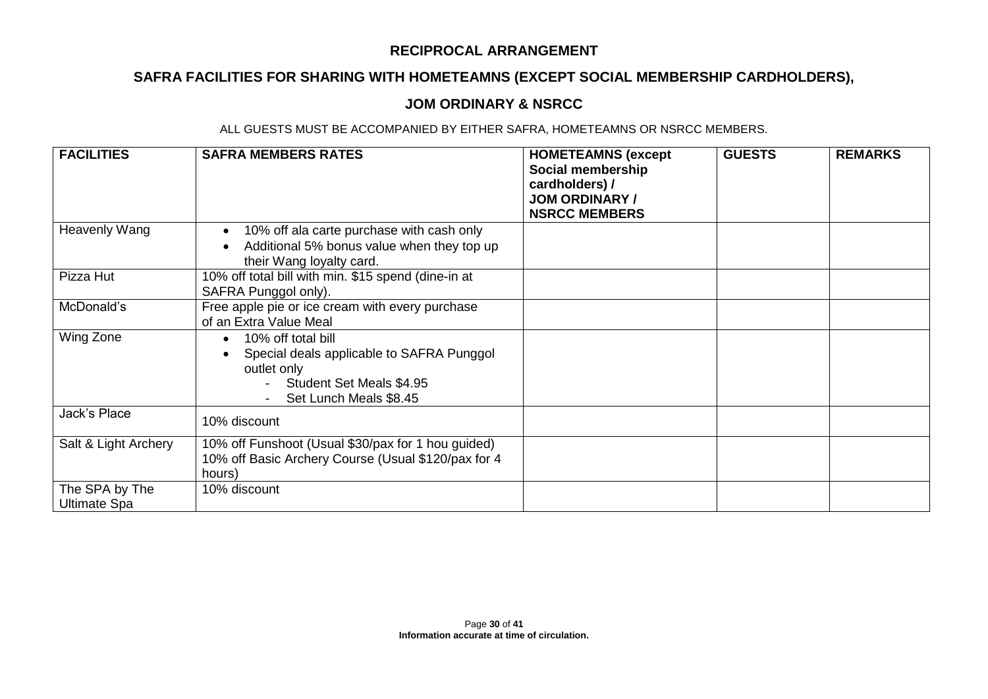# **SAFRA FACILITIES FOR SHARING WITH HOMETEAMNS (EXCEPT SOCIAL MEMBERSHIP CARDHOLDERS),**

### **JOM ORDINARY & NSRCC**

| <b>FACILITIES</b>                     | <b>SAFRA MEMBERS RATES</b>                                                                                                                        | <b>HOMETEAMNS (except</b><br>Social membership<br>cardholders) /<br><b>JOM ORDINARY /</b><br><b>NSRCC MEMBERS</b> | <b>GUESTS</b> | <b>REMARKS</b> |
|---------------------------------------|---------------------------------------------------------------------------------------------------------------------------------------------------|-------------------------------------------------------------------------------------------------------------------|---------------|----------------|
| Heavenly Wang                         | 10% off ala carte purchase with cash only<br>Additional 5% bonus value when they top up<br>their Wang loyalty card.                               |                                                                                                                   |               |                |
| Pizza Hut                             | 10% off total bill with min. \$15 spend (dine-in at<br>SAFRA Punggol only).                                                                       |                                                                                                                   |               |                |
| McDonald's                            | Free apple pie or ice cream with every purchase<br>of an Extra Value Meal                                                                         |                                                                                                                   |               |                |
| Wing Zone                             | 10% off total bill<br>$\bullet$<br>Special deals applicable to SAFRA Punggol<br>outlet only<br>Student Set Meals \$4.95<br>Set Lunch Meals \$8.45 |                                                                                                                   |               |                |
| Jack's Place                          | 10% discount                                                                                                                                      |                                                                                                                   |               |                |
| Salt & Light Archery                  | 10% off Funshoot (Usual \$30/pax for 1 hou guided)<br>10% off Basic Archery Course (Usual \$120/pax for 4<br>hours)                               |                                                                                                                   |               |                |
| The SPA by The<br><b>Ultimate Spa</b> | 10% discount                                                                                                                                      |                                                                                                                   |               |                |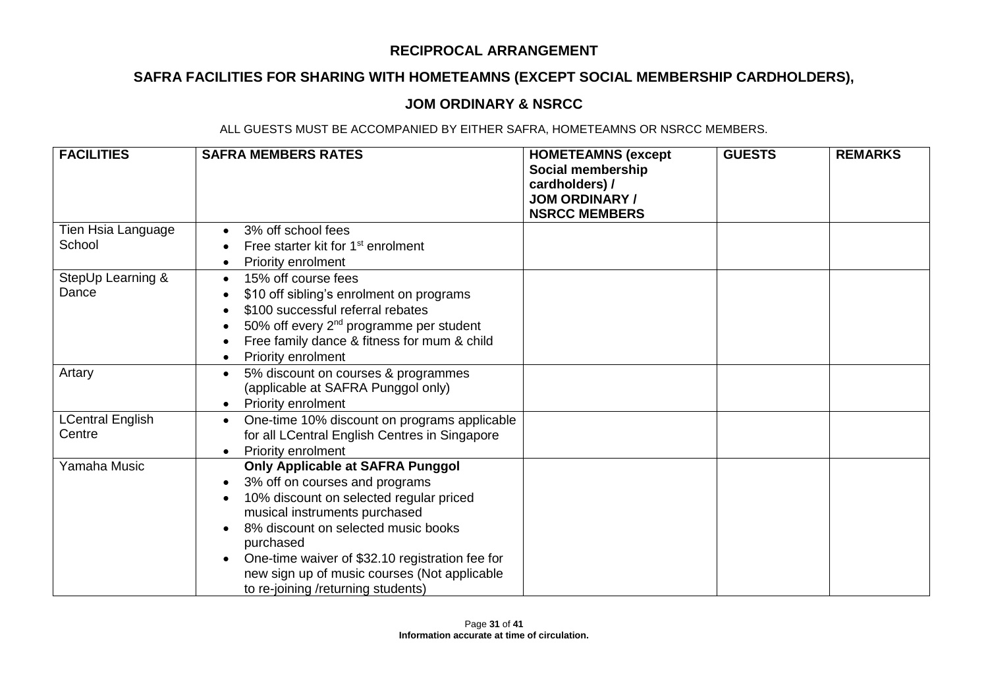# **SAFRA FACILITIES FOR SHARING WITH HOMETEAMNS (EXCEPT SOCIAL MEMBERSHIP CARDHOLDERS),**

### **JOM ORDINARY & NSRCC**

| <b>FACILITIES</b>                 | <b>SAFRA MEMBERS RATES</b>                                                                                                                                                                                                                                                                                                                               | <b>HOMETEAMNS (except</b><br>Social membership<br>cardholders) /<br><b>JOM ORDINARY /</b><br><b>NSRCC MEMBERS</b> | <b>GUESTS</b> | <b>REMARKS</b> |
|-----------------------------------|----------------------------------------------------------------------------------------------------------------------------------------------------------------------------------------------------------------------------------------------------------------------------------------------------------------------------------------------------------|-------------------------------------------------------------------------------------------------------------------|---------------|----------------|
| Tien Hsia Language<br>School      | 3% off school fees<br>Free starter kit for 1 <sup>st</sup> enrolment                                                                                                                                                                                                                                                                                     |                                                                                                                   |               |                |
| StepUp Learning &<br>Dance        | Priority enrolment<br>15% off course fees<br>\$10 off sibling's enrolment on programs<br>\$100 successful referral rebates<br>50% off every 2 <sup>nd</sup> programme per student<br>Free family dance & fitness for mum & child<br>Priority enrolment                                                                                                   |                                                                                                                   |               |                |
| Artary                            | 5% discount on courses & programmes<br>$\bullet$<br>(applicable at SAFRA Punggol only)<br>Priority enrolment<br>$\bullet$                                                                                                                                                                                                                                |                                                                                                                   |               |                |
| <b>LCentral English</b><br>Centre | One-time 10% discount on programs applicable<br>for all LCentral English Centres in Singapore<br>Priority enrolment                                                                                                                                                                                                                                      |                                                                                                                   |               |                |
| Yamaha Music                      | Only Applicable at SAFRA Punggol<br>3% off on courses and programs<br>$\bullet$<br>10% discount on selected regular priced<br>musical instruments purchased<br>8% discount on selected music books<br>purchased<br>One-time waiver of \$32.10 registration fee for<br>new sign up of music courses (Not applicable<br>to re-joining /returning students) |                                                                                                                   |               |                |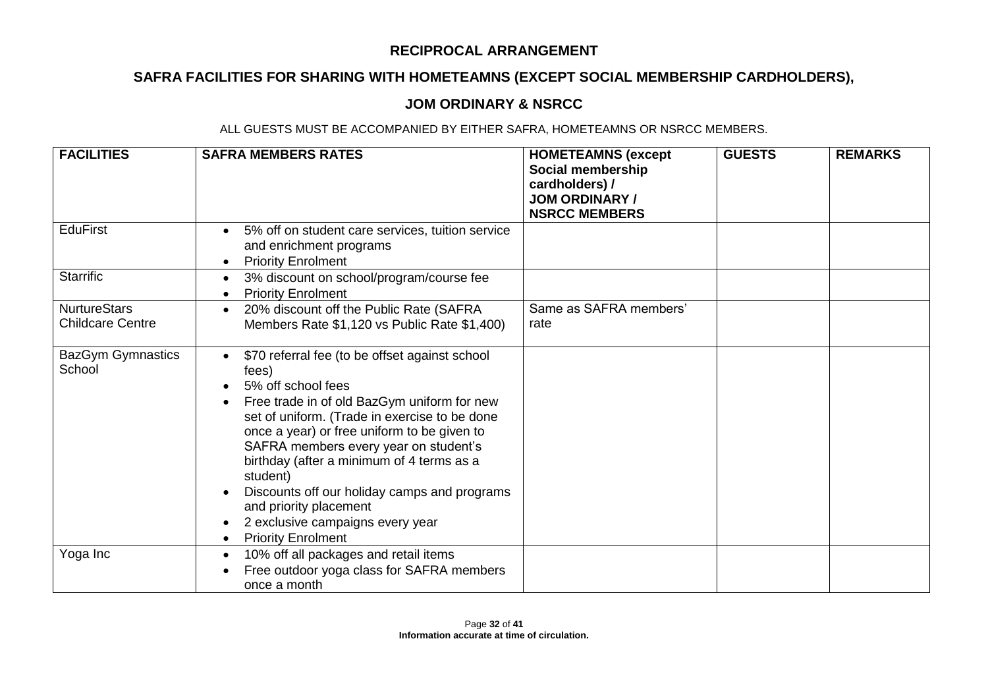# **SAFRA FACILITIES FOR SHARING WITH HOMETEAMNS (EXCEPT SOCIAL MEMBERSHIP CARDHOLDERS),**

## **JOM ORDINARY & NSRCC**

| <b>FACILITIES</b>                              | <b>SAFRA MEMBERS RATES</b>                                                                                                                                                                                                                                                                                                                                                                                                                                                             | <b>HOMETEAMNS (except</b><br>Social membership<br>cardholders) /<br><b>JOM ORDINARY /</b><br><b>NSRCC MEMBERS</b> | <b>GUESTS</b> | <b>REMARKS</b> |
|------------------------------------------------|----------------------------------------------------------------------------------------------------------------------------------------------------------------------------------------------------------------------------------------------------------------------------------------------------------------------------------------------------------------------------------------------------------------------------------------------------------------------------------------|-------------------------------------------------------------------------------------------------------------------|---------------|----------------|
| <b>EduFirst</b>                                | 5% off on student care services, tuition service<br>and enrichment programs<br><b>Priority Enrolment</b><br>$\bullet$                                                                                                                                                                                                                                                                                                                                                                  |                                                                                                                   |               |                |
| <b>Starrific</b>                               | 3% discount on school/program/course fee<br>$\bullet$<br><b>Priority Enrolment</b>                                                                                                                                                                                                                                                                                                                                                                                                     |                                                                                                                   |               |                |
| <b>NurtureStars</b><br><b>Childcare Centre</b> | 20% discount off the Public Rate (SAFRA<br>Members Rate \$1,120 vs Public Rate \$1,400)                                                                                                                                                                                                                                                                                                                                                                                                | Same as SAFRA members'<br>rate                                                                                    |               |                |
| <b>BazGym Gymnastics</b><br>School             | \$70 referral fee (to be offset against school<br>fees)<br>5% off school fees<br>Free trade in of old BazGym uniform for new<br>set of uniform. (Trade in exercise to be done<br>once a year) or free uniform to be given to<br>SAFRA members every year on student's<br>birthday (after a minimum of 4 terms as a<br>student)<br>Discounts off our holiday camps and programs<br>and priority placement<br>2 exclusive campaigns every year<br><b>Priority Enrolment</b><br>$\bullet$ |                                                                                                                   |               |                |
| Yoga Inc                                       | 10% off all packages and retail items<br>Free outdoor yoga class for SAFRA members<br>once a month                                                                                                                                                                                                                                                                                                                                                                                     |                                                                                                                   |               |                |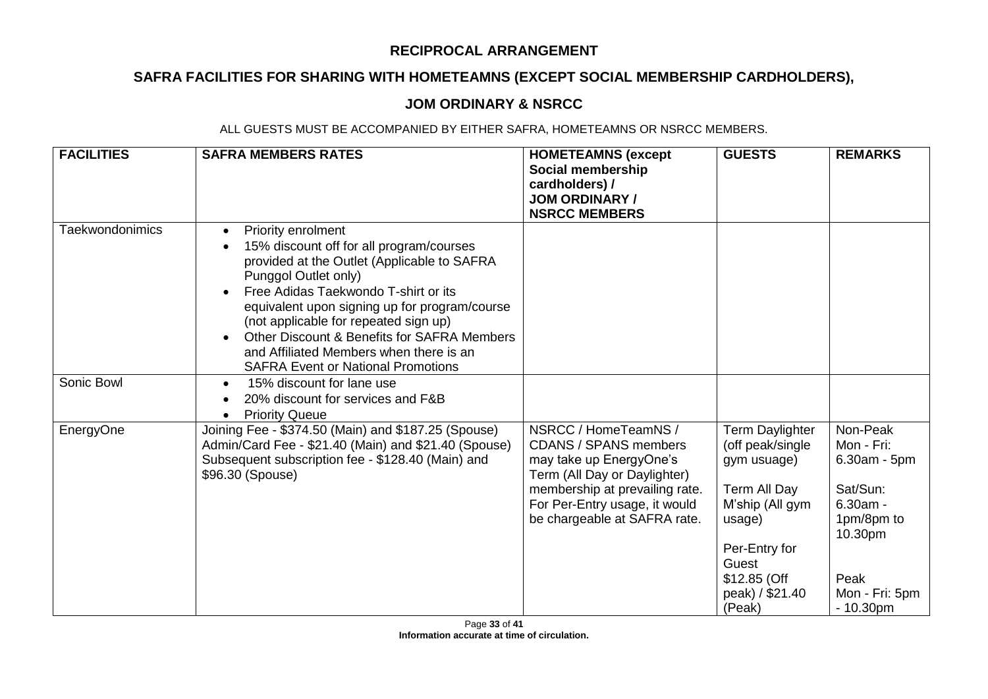# **SAFRA FACILITIES FOR SHARING WITH HOMETEAMNS (EXCEPT SOCIAL MEMBERSHIP CARDHOLDERS),**

### **JOM ORDINARY & NSRCC**

| <b>FACILITIES</b>      | <b>SAFRA MEMBERS RATES</b>                                                                                                                                                                                                                                                                                                                                                                                                  | <b>HOMETEAMNS (except</b><br>Social membership<br>cardholders) /<br><b>JOM ORDINARY /</b><br><b>NSRCC MEMBERS</b>                                                                                                  | <b>GUESTS</b>                                                                                                                                                          | <b>REMARKS</b>                                                                                                                      |
|------------------------|-----------------------------------------------------------------------------------------------------------------------------------------------------------------------------------------------------------------------------------------------------------------------------------------------------------------------------------------------------------------------------------------------------------------------------|--------------------------------------------------------------------------------------------------------------------------------------------------------------------------------------------------------------------|------------------------------------------------------------------------------------------------------------------------------------------------------------------------|-------------------------------------------------------------------------------------------------------------------------------------|
| <b>Taekwondonimics</b> | Priority enrolment<br>$\bullet$<br>15% discount off for all program/courses<br>provided at the Outlet (Applicable to SAFRA<br>Punggol Outlet only)<br>Free Adidas Taekwondo T-shirt or its<br>equivalent upon signing up for program/course<br>(not applicable for repeated sign up)<br>Other Discount & Benefits for SAFRA Members<br>and Affiliated Members when there is an<br><b>SAFRA Event or National Promotions</b> |                                                                                                                                                                                                                    |                                                                                                                                                                        |                                                                                                                                     |
| Sonic Bowl             | 15% discount for lane use<br>$\bullet$<br>20% discount for services and F&B<br><b>Priority Queue</b>                                                                                                                                                                                                                                                                                                                        |                                                                                                                                                                                                                    |                                                                                                                                                                        |                                                                                                                                     |
| EnergyOne              | Joining Fee - \$374.50 (Main) and \$187.25 (Spouse)<br>Admin/Card Fee - \$21.40 (Main) and \$21.40 (Spouse)<br>Subsequent subscription fee - \$128.40 (Main) and<br>\$96.30 (Spouse)                                                                                                                                                                                                                                        | NSRCC / HomeTeamNS /<br><b>CDANS / SPANS members</b><br>may take up EnergyOne's<br>Term (All Day or Daylighter)<br>membership at prevailing rate.<br>For Per-Entry usage, it would<br>be chargeable at SAFRA rate. | Term Daylighter<br>(off peak/single<br>gym usuage)<br>Term All Day<br>M'ship (All gym<br>usage)<br>Per-Entry for<br>Guest<br>\$12.85 (Off<br>peak) / \$21.40<br>(Peak) | Non-Peak<br>Mon - Fri:<br>$6.30am - 5pm$<br>Sat/Sun:<br>$6.30am -$<br>1pm/8pm to<br>10.30pm<br>Peak<br>Mon - Fri: 5pm<br>$-10.30pm$ |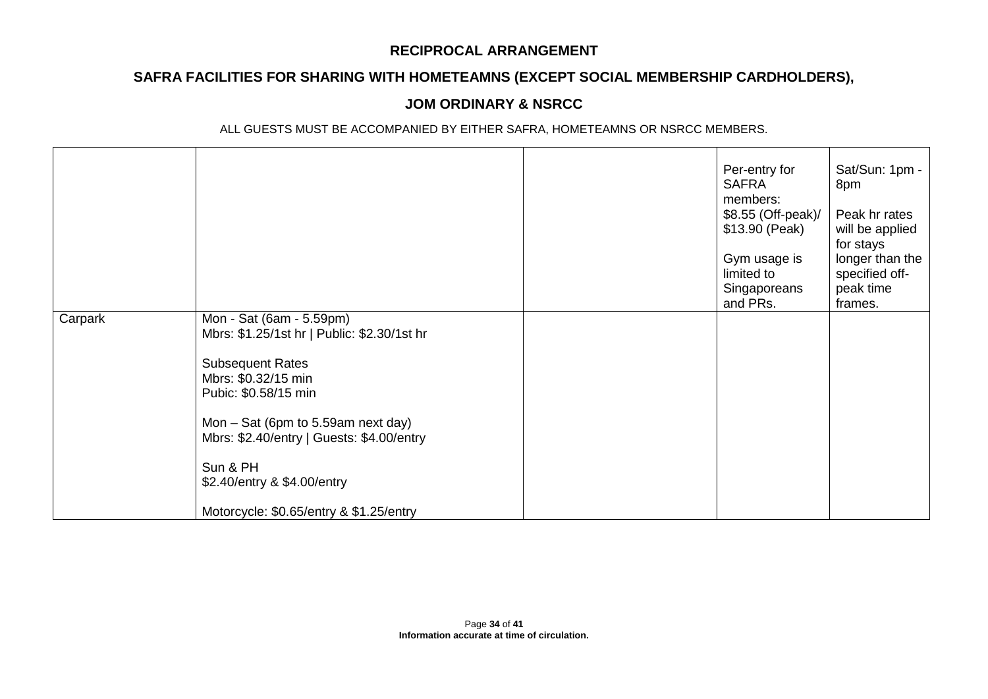# **SAFRA FACILITIES FOR SHARING WITH HOMETEAMNS (EXCEPT SOCIAL MEMBERSHIP CARDHOLDERS),**

## **JOM ORDINARY & NSRCC**

|         |                                                                                 | Per-entry for<br><b>SAFRA</b><br>members:<br>\$8.55 (Off-peak)/<br>\$13.90 (Peak)<br>Gym usage is<br>limited to<br>Singaporeans<br>and PRs. | Sat/Sun: 1pm -<br>8pm<br>Peak hr rates<br>will be applied<br>for stays<br>longer than the<br>specified off-<br>peak time<br>frames. |
|---------|---------------------------------------------------------------------------------|---------------------------------------------------------------------------------------------------------------------------------------------|-------------------------------------------------------------------------------------------------------------------------------------|
| Carpark | Mon - Sat (6am - 5.59pm)<br>Mbrs: \$1.25/1st hr   Public: \$2.30/1st hr         |                                                                                                                                             |                                                                                                                                     |
|         | <b>Subsequent Rates</b><br>Mbrs: \$0.32/15 min<br>Pubic: \$0.58/15 min          |                                                                                                                                             |                                                                                                                                     |
|         | Mon – Sat (6pm to 5.59am next day)<br>Mbrs: \$2.40/entry   Guests: \$4.00/entry |                                                                                                                                             |                                                                                                                                     |
|         | Sun & PH<br>\$2.40/entry & \$4.00/entry                                         |                                                                                                                                             |                                                                                                                                     |
|         | Motorcycle: \$0.65/entry & \$1.25/entry                                         |                                                                                                                                             |                                                                                                                                     |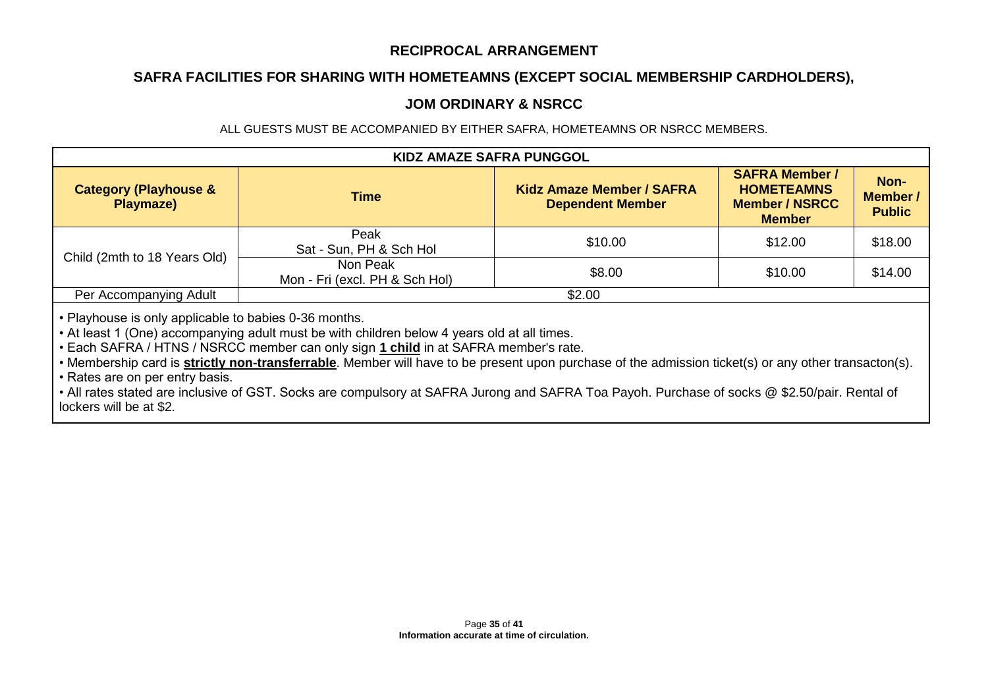## **SAFRA FACILITIES FOR SHARING WITH HOMETEAMNS (EXCEPT SOCIAL MEMBERSHIP CARDHOLDERS),**

### **JOM ORDINARY & NSRCC**

ALL GUESTS MUST BE ACCOMPANIED BY EITHER SAFRA, HOMETEAMNS OR NSRCC MEMBERS.

| <b>KIDZ AMAZE SAFRA PUNGGOL</b>               |                                            |                                                             |                                                                                      |                                   |  |
|-----------------------------------------------|--------------------------------------------|-------------------------------------------------------------|--------------------------------------------------------------------------------------|-----------------------------------|--|
| <b>Category (Playhouse &amp;</b><br>Playmaze) | <b>Time</b>                                | <b>Kidz Amaze Member / SAFRA</b><br><b>Dependent Member</b> | <b>SAFRA Member /</b><br><b>HOMETEAMNS</b><br><b>Member / NSRCC</b><br><b>Member</b> | Non-<br>Member /<br><b>Public</b> |  |
|                                               | Peak<br>Sat - Sun, PH & Sch Hol            | \$10.00                                                     | \$12.00                                                                              | \$18.00                           |  |
| Child (2mth to 18 Years Old)                  | Non Peak<br>Mon - Fri (excl. PH & Sch Hol) | \$8.00                                                      | \$10.00                                                                              | \$14.00                           |  |
| Per Accompanying Adult                        |                                            | \$2.00                                                      |                                                                                      |                                   |  |

• Playhouse is only applicable to babies 0-36 months.

• At least 1 (One) accompanying adult must be with children below 4 years old at all times.

• Each SAFRA / HTNS / NSRCC member can only sign **1 child** in at SAFRA member's rate.

• Membership card is **strictly non-transferrable**. Member will have to be present upon purchase of the admission ticket(s) or any other transacton(s).

• Rates are on per entry basis.

• All rates stated are inclusive of GST. Socks are compulsory at SAFRA Jurong and SAFRA Toa Payoh. Purchase of socks @ \$2.50/pair. Rental of lockers will be at \$2.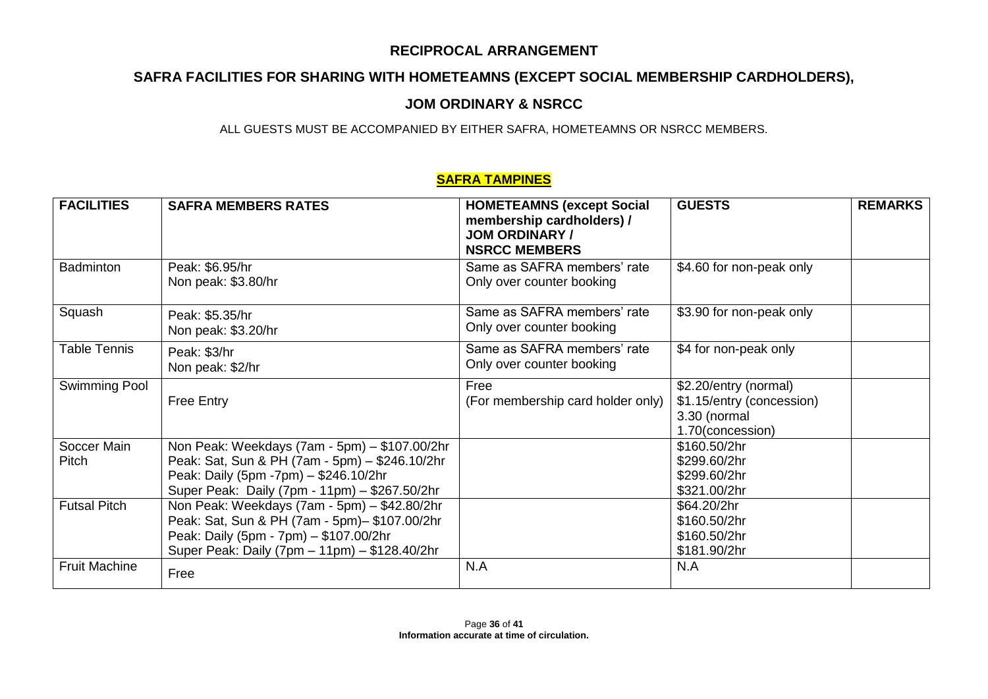# **SAFRA FACILITIES FOR SHARING WITH HOMETEAMNS (EXCEPT SOCIAL MEMBERSHIP CARDHOLDERS),**

## **JOM ORDINARY & NSRCC**

ALL GUESTS MUST BE ACCOMPANIED BY EITHER SAFRA, HOMETEAMNS OR NSRCC MEMBERS.

### **SAFRA TAMPINES**

| <b>FACILITIES</b>    | <b>SAFRA MEMBERS RATES</b>                                                                                                                                                                | <b>HOMETEAMNS (except Social</b><br>membership cardholders) /<br><b>JOM ORDINARY /</b><br><b>NSRCC MEMBERS</b> | <b>GUESTS</b>                                                                          | <b>REMARKS</b> |
|----------------------|-------------------------------------------------------------------------------------------------------------------------------------------------------------------------------------------|----------------------------------------------------------------------------------------------------------------|----------------------------------------------------------------------------------------|----------------|
| <b>Badminton</b>     | Peak: \$6.95/hr<br>Non peak: \$3.80/hr                                                                                                                                                    | Same as SAFRA members' rate<br>Only over counter booking                                                       | \$4.60 for non-peak only                                                               |                |
| Squash               | Peak: \$5.35/hr<br>Non peak: \$3.20/hr                                                                                                                                                    | Same as SAFRA members' rate<br>Only over counter booking                                                       | \$3.90 for non-peak only                                                               |                |
| <b>Table Tennis</b>  | Peak: \$3/hr<br>Non peak: \$2/hr                                                                                                                                                          | Same as SAFRA members' rate<br>Only over counter booking                                                       | \$4 for non-peak only                                                                  |                |
| Swimming Pool        | <b>Free Entry</b>                                                                                                                                                                         | Free<br>(For membership card holder only)                                                                      | \$2.20/entry (normal)<br>\$1.15/entry (concession)<br>3.30 (normal<br>1.70(concession) |                |
| Soccer Main<br>Pitch | Non Peak: Weekdays (7am - 5pm) - \$107.00/2hr<br>Peak: Sat, Sun & PH (7am - 5pm) - \$246.10/2hr<br>Peak: Daily (5pm -7pm) - \$246.10/2hr<br>Super Peak: Daily (7pm - 11pm) - \$267.50/2hr |                                                                                                                | \$160.50/2hr<br>\$299.60/2hr<br>\$299.60/2hr<br>\$321.00/2hr                           |                |
| <b>Futsal Pitch</b>  | Non Peak: Weekdays (7am - 5pm) - \$42.80/2hr<br>Peak: Sat, Sun & PH (7am - 5pm) - \$107.00/2hr<br>Peak: Daily (5pm - 7pm) - \$107.00/2hr<br>Super Peak: Daily (7pm - 11pm) - \$128.40/2hr |                                                                                                                | \$64.20/2hr<br>\$160.50/2hr<br>\$160.50/2hr<br>\$181.90/2hr                            |                |
| <b>Fruit Machine</b> | Free                                                                                                                                                                                      | N.A                                                                                                            | N.A                                                                                    |                |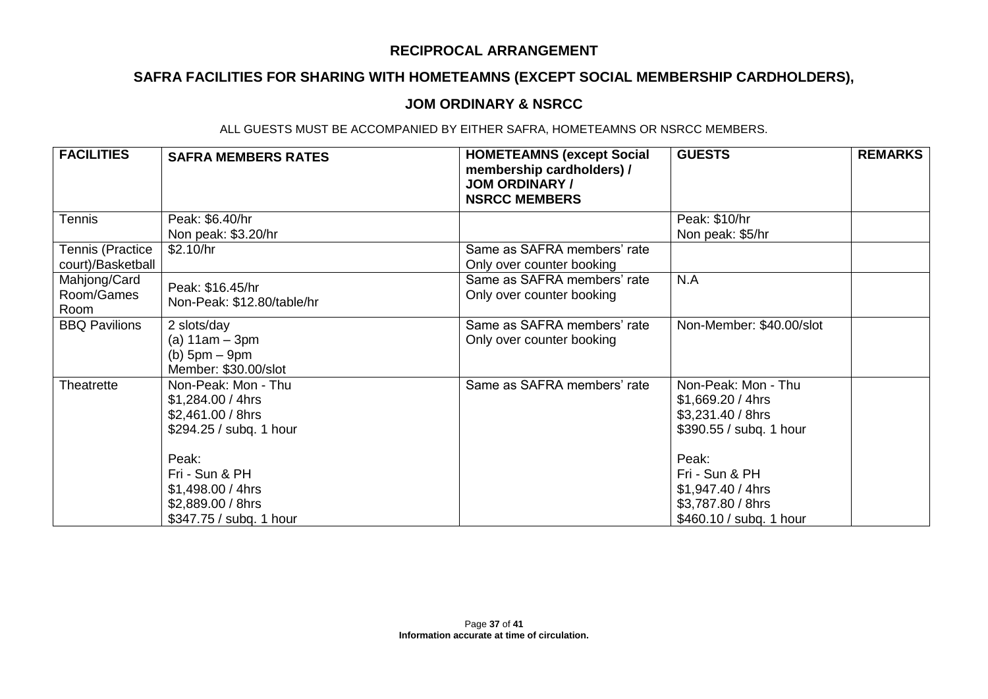# **SAFRA FACILITIES FOR SHARING WITH HOMETEAMNS (EXCEPT SOCIAL MEMBERSHIP CARDHOLDERS),**

### **JOM ORDINARY & NSRCC**

| <b>FACILITIES</b>                     | <b>SAFRA MEMBERS RATES</b>                                                                     | <b>HOMETEAMNS (except Social</b><br>membership cardholders) /<br><b>JOM ORDINARY /</b><br><b>NSRCC MEMBERS</b> | <b>GUESTS</b>                                                                                | <b>REMARKS</b> |
|---------------------------------------|------------------------------------------------------------------------------------------------|----------------------------------------------------------------------------------------------------------------|----------------------------------------------------------------------------------------------|----------------|
| <b>Tennis</b>                         | Peak: \$6.40/hr<br>Non peak: \$3.20/hr                                                         |                                                                                                                | Peak: \$10/hr<br>Non peak: \$5/hr                                                            |                |
| Tennis (Practice<br>court)/Basketball | \$2.10/hr                                                                                      | Same as SAFRA members' rate<br>Only over counter booking                                                       |                                                                                              |                |
| Mahjong/Card<br>Room/Games<br>Room    | Peak: \$16.45/hr<br>Non-Peak: \$12.80/table/hr                                                 | Same as SAFRA members' rate<br>Only over counter booking                                                       | N.A                                                                                          |                |
| <b>BBQ Pavilions</b>                  | 2 slots/day<br>(a) $11am - 3pm$<br>$(b)$ 5pm $-$ 9pm<br>Member: \$30.00/slot                   | Same as SAFRA members' rate<br>Only over counter booking                                                       | Non-Member: \$40.00/slot                                                                     |                |
| Theatrette                            | Non-Peak: Mon - Thu<br>$$1,284.00 / 4$ hrs<br>\$2,461.00 / 8hrs<br>\$294.25 / subq. 1 hour     | Same as SAFRA members' rate                                                                                    | Non-Peak: Mon - Thu<br>$$1,669.20 / 4$ hrs<br>\$3,231.40 / 8hrs<br>\$390.55 / subq. 1 hour   |                |
|                                       | Peak:<br>Fri - Sun & PH<br>$$1,498.00 / 4$ hrs<br>\$2,889.00 / 8hrs<br>\$347.75 / subq. 1 hour |                                                                                                                | Peak:<br>Fri - Sun & PH<br>\$1,947.40 / 4hrs<br>\$3,787.80 / 8hrs<br>\$460.10 / subq. 1 hour |                |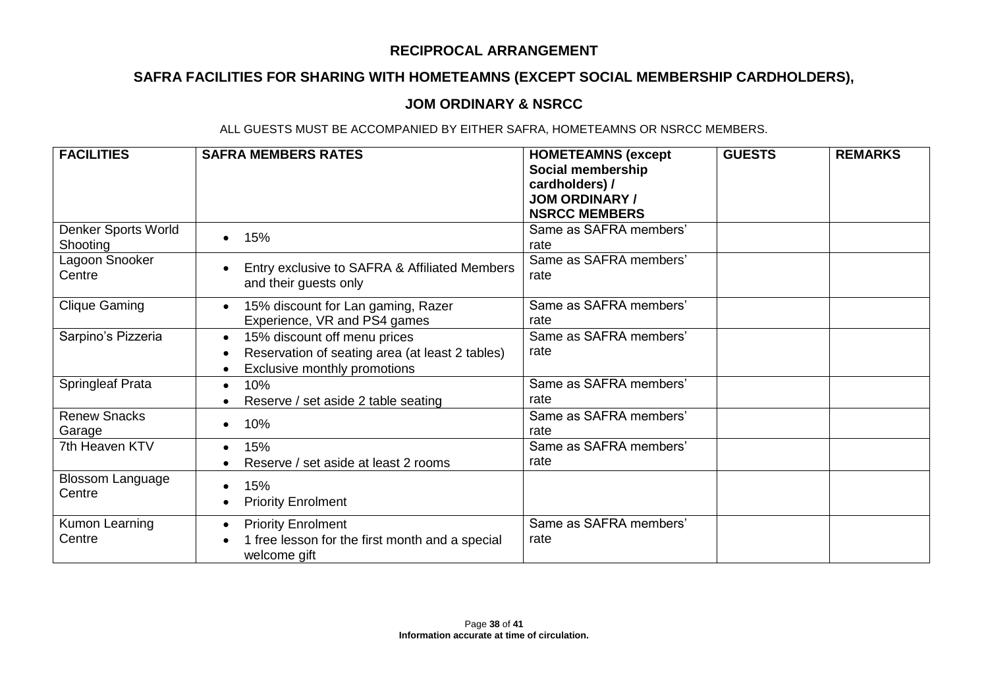# **SAFRA FACILITIES FOR SHARING WITH HOMETEAMNS (EXCEPT SOCIAL MEMBERSHIP CARDHOLDERS),**

## **JOM ORDINARY & NSRCC**

| <b>FACILITIES</b>                 | <b>SAFRA MEMBERS RATES</b>                                                                                                   | <b>HOMETEAMNS (except</b><br>Social membership<br>cardholders) /<br><b>JOM ORDINARY /</b><br><b>NSRCC MEMBERS</b> | <b>GUESTS</b> | <b>REMARKS</b> |
|-----------------------------------|------------------------------------------------------------------------------------------------------------------------------|-------------------------------------------------------------------------------------------------------------------|---------------|----------------|
| Denker Sports World<br>Shooting   | 15%                                                                                                                          | Same as SAFRA members'<br>rate                                                                                    |               |                |
| Lagoon Snooker<br>Centre          | Entry exclusive to SAFRA & Affiliated Members<br>and their guests only                                                       | Same as SAFRA members'<br>rate                                                                                    |               |                |
| <b>Clique Gaming</b>              | 15% discount for Lan gaming, Razer<br>$\bullet$<br>Experience, VR and PS4 games                                              | Same as SAFRA members'<br>rate                                                                                    |               |                |
| Sarpino's Pizzeria                | 15% discount off menu prices<br>$\bullet$<br>Reservation of seating area (at least 2 tables)<br>Exclusive monthly promotions | Same as SAFRA members'<br>rate                                                                                    |               |                |
| Springleaf Prata                  | 10%<br>Reserve / set aside 2 table seating                                                                                   | Same as SAFRA members'<br>rate                                                                                    |               |                |
| <b>Renew Snacks</b><br>Garage     | 10%                                                                                                                          | Same as SAFRA members'<br>rate                                                                                    |               |                |
| 7th Heaven KTV                    | 15%<br>Reserve / set aside at least 2 rooms                                                                                  | Same as SAFRA members'<br>rate                                                                                    |               |                |
| <b>Blossom Language</b><br>Centre | 15%<br><b>Priority Enrolment</b>                                                                                             |                                                                                                                   |               |                |
| Kumon Learning<br>Centre          | <b>Priority Enrolment</b><br>1 free lesson for the first month and a special<br>welcome gift                                 | Same as SAFRA members'<br>rate                                                                                    |               |                |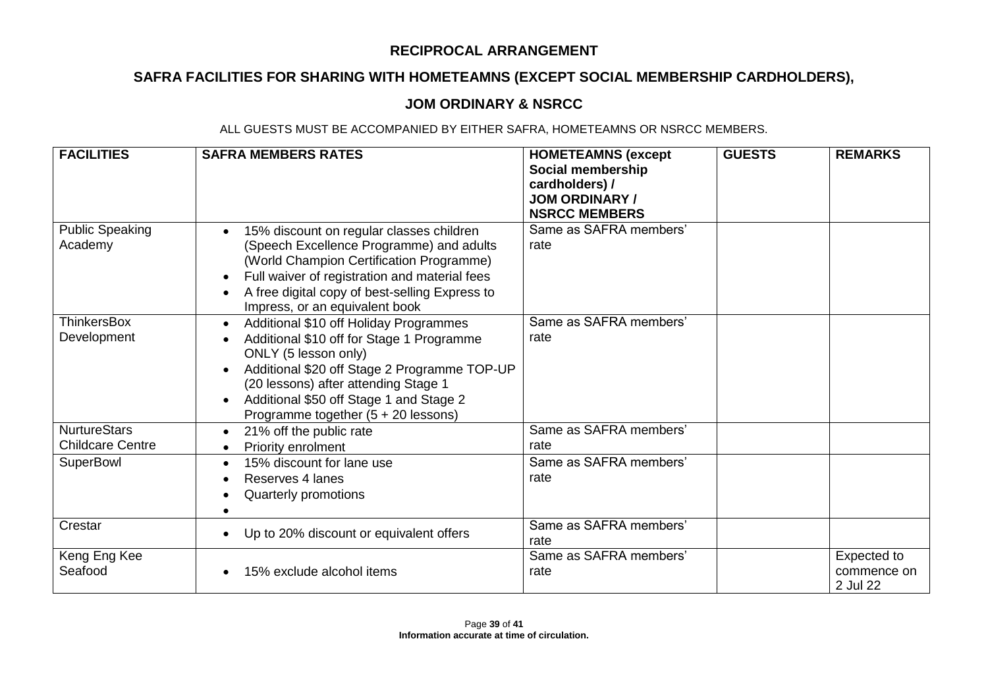# **SAFRA FACILITIES FOR SHARING WITH HOMETEAMNS (EXCEPT SOCIAL MEMBERSHIP CARDHOLDERS),**

## **JOM ORDINARY & NSRCC**

| <b>FACILITIES</b>                              | <b>SAFRA MEMBERS RATES</b>                                                                                                                                                                                                                                                                         | <b>HOMETEAMNS (except</b><br>Social membership<br>cardholders) /<br><b>JOM ORDINARY /</b><br><b>NSRCC MEMBERS</b> | <b>GUESTS</b> | <b>REMARKS</b>                         |
|------------------------------------------------|----------------------------------------------------------------------------------------------------------------------------------------------------------------------------------------------------------------------------------------------------------------------------------------------------|-------------------------------------------------------------------------------------------------------------------|---------------|----------------------------------------|
| <b>Public Speaking</b><br>Academy              | 15% discount on regular classes children<br>(Speech Excellence Programme) and adults<br>(World Champion Certification Programme)<br>Full waiver of registration and material fees<br>A free digital copy of best-selling Express to<br>Impress, or an equivalent book                              | Same as SAFRA members'<br>rate                                                                                    |               |                                        |
| <b>ThinkersBox</b><br>Development              | Additional \$10 off Holiday Programmes<br>$\bullet$<br>Additional \$10 off for Stage 1 Programme<br>ONLY (5 lesson only)<br>Additional \$20 off Stage 2 Programme TOP-UP<br>(20 lessons) after attending Stage 1<br>Additional \$50 off Stage 1 and Stage 2<br>Programme together (5 + 20 lessons) | Same as SAFRA members'<br>rate                                                                                    |               |                                        |
| <b>NurtureStars</b><br><b>Childcare Centre</b> | 21% off the public rate<br>Priority enrolment                                                                                                                                                                                                                                                      | Same as SAFRA members'<br>rate                                                                                    |               |                                        |
| SuperBowl                                      | 15% discount for lane use<br>Reserves 4 lanes<br>Quarterly promotions                                                                                                                                                                                                                              | Same as SAFRA members'<br>rate                                                                                    |               |                                        |
| Crestar                                        | Up to 20% discount or equivalent offers                                                                                                                                                                                                                                                            | Same as SAFRA members'<br>rate                                                                                    |               |                                        |
| Keng Eng Kee<br>Seafood                        | 15% exclude alcohol items                                                                                                                                                                                                                                                                          | Same as SAFRA members'<br>rate                                                                                    |               | Expected to<br>commence on<br>2 Jul 22 |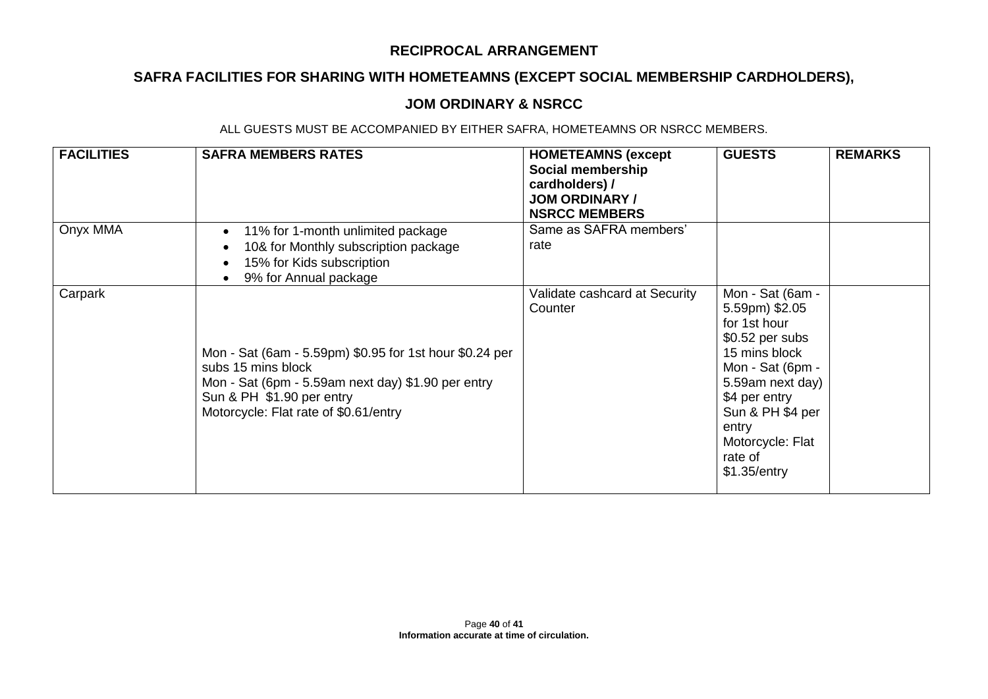# **SAFRA FACILITIES FOR SHARING WITH HOMETEAMNS (EXCEPT SOCIAL MEMBERSHIP CARDHOLDERS),**

### **JOM ORDINARY & NSRCC**

| <b>FACILITIES</b> | <b>SAFRA MEMBERS RATES</b>                                                                                                                                                                                | <b>HOMETEAMNS (except</b><br>Social membership<br>cardholders) /<br><b>JOM ORDINARY /</b><br><b>NSRCC MEMBERS</b> | <b>GUESTS</b>                                                                                                                                                                                                                | <b>REMARKS</b> |
|-------------------|-----------------------------------------------------------------------------------------------------------------------------------------------------------------------------------------------------------|-------------------------------------------------------------------------------------------------------------------|------------------------------------------------------------------------------------------------------------------------------------------------------------------------------------------------------------------------------|----------------|
| Onyx MMA          | 11% for 1-month unlimited package<br>$\bullet$<br>10& for Monthly subscription package<br>15% for Kids subscription<br>9% for Annual package                                                              | Same as SAFRA members'<br>rate                                                                                    |                                                                                                                                                                                                                              |                |
| Carpark           | Mon - Sat (6am - 5.59pm) \$0.95 for 1st hour \$0.24 per<br>subs 15 mins block<br>Mon - Sat (6pm - 5.59am next day) \$1.90 per entry<br>Sun & PH \$1.90 per entry<br>Motorcycle: Flat rate of \$0.61/entry | Validate cashcard at Security<br>Counter                                                                          | Mon - Sat (6am -<br>5.59pm) \$2.05<br>for 1st hour<br>$$0.52$ per subs<br>15 mins block<br>Mon - Sat (6pm -<br>5.59am next day)<br>\$4 per entry<br>Sun & PH \$4 per<br>entry<br>Motorcycle: Flat<br>rate of<br>\$1.35/entry |                |